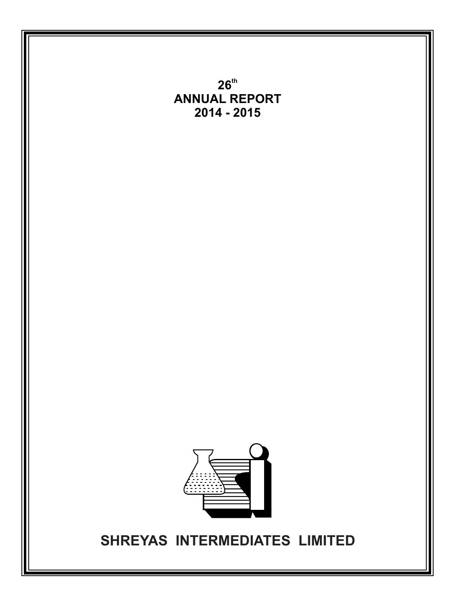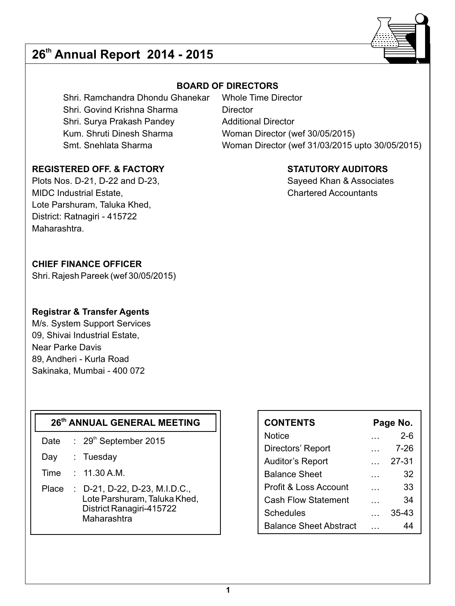

#### **BOARD OF DIRECTORS**

Shri. Govind Krishna Sharma **Director** Shri. Surya Prakash Pandey **Additional Director** Kum. Shruti Dinesh Sharma Woman Director (wef 30/05/2015) Shri. Ramchandra Dhondu Ghanekar Whole Time Director

#### **REGISTERED OFF. & FACTORY STATUTORY AUDITORS**

Plots Nos. D-21, D-22 and D-23, November 2012 Sayeed Khan & Associates MIDC Industrial Estate. The Chartered Accountants and Chartered Accountants Lote Parshuram, Taluka Khed, District: Ratnagiri - 415722 Maharashtra.

Smt. Snehlata Sharma Woman Director (wef 31/03/2015 upto 30/05/2015)

#### **CHIEF FINANCE OFFICER**

Shri. Rajesh Pareek (wef 30/05/2015)

#### **Registrar & Transfer Agents**

M/s. System Support Services 09, Shivai Industrial Estate, Near Parke Davis 89, Andheri - Kurla Road Sakinaka, Mumbai - 400 072

#### **th 26 ANNUAL GENERAL MEETING**

- Date :  $29<sup>th</sup>$  September 2015
- Day : Tuesday

Time : 11.30 A.M.

Place : D-21, D-22, D-23, M.I.D.C., Lote Parshuram, Taluka Khed, District Ranagiri-415722 Maharashtra

| <b>CONTENTS</b>         | Page No. |
|-------------------------|----------|
| Notice                  | $2-6$    |
| Directors' Report       | 7-26     |
| <b>Auditor's Report</b> | 27-31    |
| <b>Balance Sheet</b>    | 32       |
| Profit & Loss Account   | 33       |
| Cash Flow Statement     | 34       |
| Schedules               | $35-43$  |
| Balance Sheet Abstract  |          |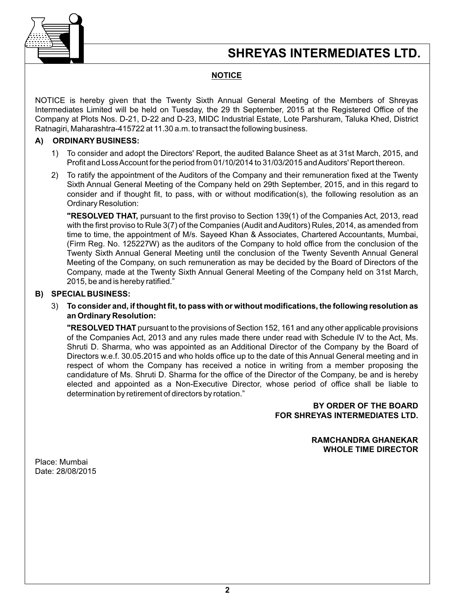

#### **NOTICE**

NOTICE is hereby given that the Twenty Sixth Annual General Meeting of the Members of Shreyas Intermediates Limited will be held on Tuesday, the 29 th September, 2015 at the Registered Office of the Company at Plots Nos. D-21, D-22 and D-23, MIDC Industrial Estate, Lote Parshuram, Taluka Khed, District Ratnagiri, Maharashtra-415722 at 11.30 a.m. to transact the following business.

#### **A) ORDINARY BUSINESS:**

- 1) To consider and adopt the Directors' Report, the audited Balance Sheet as at 31st March, 2015, and Profit and Loss Account for the period from 01/10/2014 to 31/03/2015 and Auditors' Report thereon.
- 2) To ratify the appointment of the Auditors of the Company and their remuneration fixed at the Twenty Sixth Annual General Meeting of the Company held on 29th September, 2015, and in this regard to consider and if thought fit, to pass, with or without modification(s), the following resolution as an Ordinary Resolution:

**"RESOLVED THAT,** pursuant to the first proviso to Section 139(1) of the Companies Act, 2013, read with the first proviso to Rule 3(7) of the Companies (Audit and Auditors) Rules, 2014, as amended from time to time, the appointment of M/s. Sayeed Khan & Associates, Chartered Accountants, Mumbai, (Firm Reg. No. 125227W) as the auditors of the Company to hold office from the conclusion of the Twenty Sixth Annual General Meeting until the conclusion of the Twenty Seventh Annual General Meeting of the Company, on such remuneration as may be decided by the Board of Directors of the Company, made at the Twenty Sixth Annual General Meeting of the Company held on 31st March, 2015, be and is hereby ratified."

#### **B) SPECIAL BUSINESS:**

3) **To consider and, if thought fit, to pass with or without modifications, the following resolution as an Ordinary Resolution:**

**"RESOLVED THAT** pursuant to the provisions of Section 152, 161 and any other applicable provisions of the Companies Act, 2013 and any rules made there under read with Schedule IV to the Act, Ms. Shruti D. Sharma, who was appointed as an Additional Director of the Company by the Board of Directors w.e.f. 30.05.2015 and who holds office up to the date of this Annual General meeting and in respect of whom the Company has received a notice in writing from a member proposing the candidature of Ms. Shruti D. Sharma for the office of the Director of the Company, be and is hereby elected and appointed as a Non-Executive Director, whose period of office shall be liable to determination by retirement of directors by rotation."

> **BY ORDER OF THE BOARD FOR SHREYAS INTERMEDIATES LTD.**

> > **RAMCHANDRA GHANEKAR WHOLE TIME DIRECTOR**

Place: Mumbai Date: 28/08/2015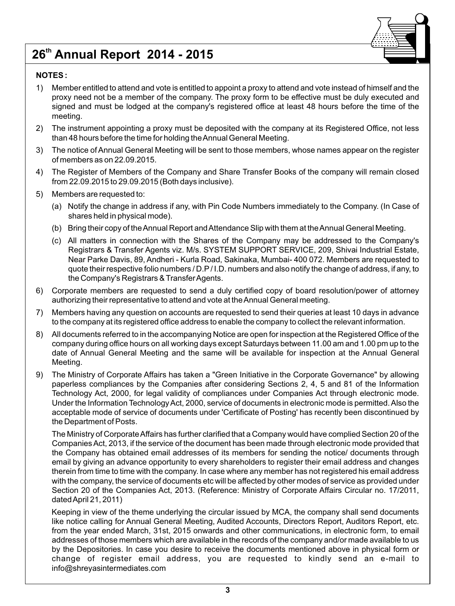

#### **NOTES :**

- 1) Member entitled to attend and vote is entitled to appoint a proxy to attend and vote instead of himself and the proxy need not be a member of the company. The proxy form to be effective must be duly executed and signed and must be lodged at the company's registered office at least 48 hours before the time of the meeting.
- 2) The instrument appointing a proxy must be deposited with the company at its Registered Office, not less than 48 hours before the time for holding the Annual General Meeting.
- 3) The notice of Annual General Meeting will be sent to those members, whose names appear on the register of members as on 22.09.2015.
- 4) The Register of Members of the Company and Share Transfer Books of the company will remain closed from 22.09.2015 to 29.09.2015 (Both days inclusive).
- 5) Members are requested to:
	- (a) Notify the change in address if any, with Pin Code Numbers immediately to the Company. (In Case of shares held in physical mode).
	- (b) Bring their copy of the Annual Report and Attendance Slip with them at the Annual General Meeting.
	- (c) All matters in connection with the Shares of the Company may be addressed to the Company's Registrars & Transfer Agents viz. M/s. SYSTEM SUPPORT SERVICE, 209, Shivai Industrial Estate, Near Parke Davis, 89, Andheri - Kurla Road, Sakinaka, Mumbai- 400 072. Members are requested to quote their respective folio numbers / D.P / I.D. numbers and also notify the change of address, if any, to the Company's Registrars & Transfer Agents.
- 6) Corporate members are requested to send a duly certified copy of board resolution/power of attorney authorizing their representative to attend and vote at the Annual General meeting.
- 7) Members having any question on accounts are requested to send their queries at least 10 days in advance to the company at its registered office address to enable the company to collect the relevant information.
- 8) All documents referred to in the accompanying Notice are open for inspection at the Registered Office of the company during office hours on all working days except Saturdays between 11.00 am and 1.00 pm up to the date of Annual General Meeting and the same will be available for inspection at the Annual General Meeting.
- 9) The Ministry of Corporate Affairs has taken a "Green Initiative in the Corporate Governance" by allowing paperless compliances by the Companies after considering Sections 2, 4, 5 and 81 of the Information Technology Act, 2000, for legal validity of compliances under Companies Act through electronic mode. Under the Information Technology Act, 2000, service of documents in electronic mode is permitted. Also the acceptable mode of service of documents under 'Certificate of Posting' has recently been discontinued by the Department of Posts.

The Ministry of Corporate Affairs has further clarified that a Company would have complied Section 20 of the Companies Act, 2013, if the service of the document has been made through electronic mode provided that the Company has obtained email addresses of its members for sending the notice/ documents through email by giving an advance opportunity to every shareholders to register their email address and changes therein from time to time with the company. In case where any member has not registered his email address with the company, the service of documents etc will be affected by other modes of service as provided under Section 20 of the Companies Act, 2013. (Reference: Ministry of Corporate Affairs Circular no. 17/2011, dated April 21, 2011)

Keeping in view of the theme underlying the circular issued by MCA, the company shall send documents like notice calling for Annual General Meeting, Audited Accounts, Directors Report, Auditors Report, etc. from the year ended March, 31st, 2015 onwards and other communications, in electronic form, to email addresses of those members which are available in the records of the company and/or made available to us by the Depositories. In case you desire to receive the documents mentioned above in physical form or change of register email address, you are requested to kindly send an e-mail to info@shreyasintermediates.com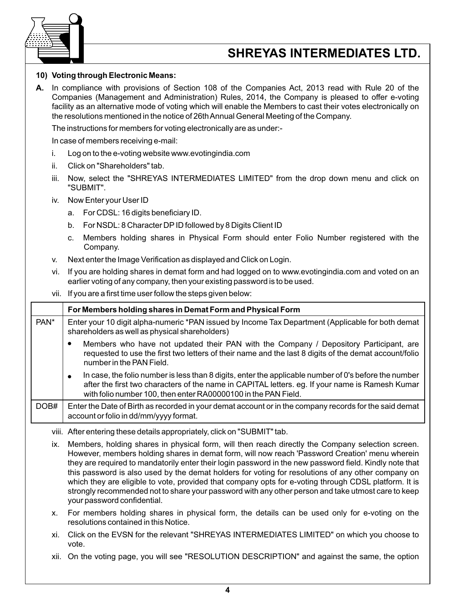

#### **10) Voting through Electronic Means:**

**A.** In compliance with provisions of Section 108 of the Companies Act, 2013 read with Rule 20 of the Companies (Management and Administration) Rules, 2014, the Company is pleased to offer e-voting facility as an alternative mode of voting which will enable the Members to cast their votes electronically on the resolutions mentioned in the notice of 26th Annual General Meeting of the Company.

The instructions for members for voting electronically are as under:-

In case of members receiving e-mail:

- i. Log on to the e-voting website www.evotingindia.com
- ii. Click on "Shareholders" tab.
- iii. Now, select the "SHREYAS INTERMEDIATES LIMITED" from the drop down menu and click on "SUBMIT".
- iv. Now Enter your User ID
	- a. For CDSL: 16 digits beneficiary ID.
	- b. For NSDL: 8 Character DPID followed by 8 Digits Client ID
	- c. Members holding shares in Physical Form should enter Folio Number registered with the Company.
- v. Next enter the Image Verification as displayed and Click on Login.
- vi. If you are holding shares in demat form and had logged on to www.evotingindia.com and voted on an earlier voting of any company, then your existing password is to be used.
- vii. If you are a first time user follow the steps given below:

|                  |                                                                                                                                                                                                                                 | For Members holding shares in Demat Form and Physical Form                                                                                                                                                                                                                 |  |  |  |  |
|------------------|---------------------------------------------------------------------------------------------------------------------------------------------------------------------------------------------------------------------------------|----------------------------------------------------------------------------------------------------------------------------------------------------------------------------------------------------------------------------------------------------------------------------|--|--|--|--|
| PAN <sup>*</sup> | Enter your 10 digit alpha-numeric *PAN issued by Income Tax Department (Applicable for both demat<br>shareholders as well as physical shareholders)                                                                             |                                                                                                                                                                                                                                                                            |  |  |  |  |
|                  | Members who have not updated their PAN with the Company / Depository Participant, are<br>٠<br>requested to use the first two letters of their name and the last 8 digits of the demat account/folio<br>number in the PAN Field. |                                                                                                                                                                                                                                                                            |  |  |  |  |
|                  | $\bullet$                                                                                                                                                                                                                       | In case, the folio number is less than 8 digits, enter the applicable number of 0's before the number<br>after the first two characters of the name in CAPITAL letters. eg. If your name is Ramesh Kumar<br>with folio number 100, then enter RA00000100 in the PAN Field. |  |  |  |  |
| DOB#             |                                                                                                                                                                                                                                 | Enter the Date of Birth as recorded in your demat account or in the company records for the said demat<br>account or folio in dd/mm/yyyy format.                                                                                                                           |  |  |  |  |
|                  |                                                                                                                                                                                                                                 | viii. After entering these details appropriately, click on "SUBMIT" tab.                                                                                                                                                                                                   |  |  |  |  |

- ix. Members, holding shares in physical form, will then reach directly the Company selection screen. However, members holding shares in demat form, will now reach 'Password Creation' menu wherein they are required to mandatorily enter their login password in the new password field. Kindly note that this password is also used by the demat holders for voting for resolutions of any other company on which they are eligible to vote, provided that company opts for e-voting through CDSL platform. It is strongly recommended not to share your password with any other person and take utmost care to keep your password confidential.
- x. For members holding shares in physical form, the details can be used only for e-voting on the resolutions contained in this Notice.
- xi. Click on the EVSN for the relevant "SHREYAS INTERMEDIATES LIMITED" on which you choose to vote.
- xii. On the voting page, you will see "RESOLUTION DESCRIPTION" and against the same, the option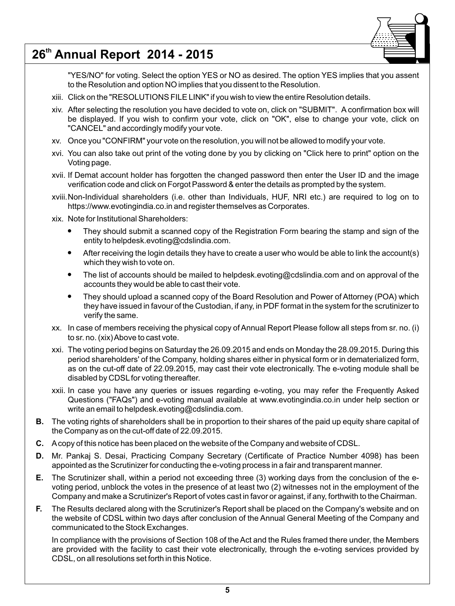"YES/NO" for voting. Select the option YES or NO as desired. The option YES implies that you assent to the Resolution and option NO implies that you dissent to the Resolution.

- xiii. Click on the "RESOLUTIONS FILE LINK" if you wish to view the entire Resolution details.
- xiv. After selecting the resolution you have decided to vote on, click on "SUBMIT". A confirmation box will be displayed. If you wish to confirm your vote, click on "OK", else to change your vote, click on "CANCEL" and accordingly modify your vote.
- xv. Once you "CONFIRM" your vote on the resolution, you will not be allowed to modify your vote.
- xvi. You can also take out print of the voting done by you by clicking on "Click here to print" option on the Voting page.
- xvii. If Demat account holder has forgotten the changed password then enter the User ID and the image verification code and click on Forgot Password & enter the details as prompted by the system.
- xviii.Non-Individual shareholders (i.e. other than Individuals, HUF, NRI etc.) are required to log on to https://www.evotingindia.co.in and register themselves as Corporates.
- xix. Note for Institutional Shareholders:<br>● They should submit a scanner
	- They should submit a scanned copy of the Registration Form bearing the stamp and sign of the entity to helpdesk.evoting@cdslindia.com.
	- After receiving the login details they have to create a user who would be able to link the account(s) which they wish to vote on.
	- The list of accounts should be mailed to helpdesk.evoting@cdslindia.com and on approval of the accounts they would be able to cast their vote.
	- They should upload a scanned copy of the Board Resolution and Power of Attorney (POA) which they have issued in favour of the Custodian, if any, in PDF format in the system for the scrutinizer to verify the same.
- xx. In case of members receiving the physical copy of Annual Report Please follow all steps from sr. no. (i) to sr. no. (xix) Above to cast vote.
- xxi. The voting period begins on Saturday the 26.09.2015 and ends on Monday the 28.09.2015. During this period shareholders' of the Company, holding shares either in physical form or in dematerialized form, as on the cut-off date of 22.09.2015, may cast their vote electronically. The e-voting module shall be disabled by CDSL for voting thereafter.
- xxii. In case you have any queries or issues regarding e-voting, you may refer the Frequently Asked Questions ("FAQs") and e-voting manual available at www.evotingindia.co.in under help section or write an email to helpdesk.evoting@cdslindia.com.
- **B.** The voting rights of shareholders shall be in proportion to their shares of the paid up equity share capital of the Company as on the cut-off date of 22.09.2015.
- **C.** Acopy of this notice has been placed on the website of the Company and website of CDSL.
- **D.** Mr. Pankaj S. Desai, Practicing Company Secretary (Certificate of Practice Number 4098) has been appointed as the Scrutinizer for conducting the e-voting process in a fair and transparent manner.
- **E.** The Scrutinizer shall, within a period not exceeding three (3) working days from the conclusion of the evoting period, unblock the votes in the presence of at least two (2) witnesses not in the employment of the Company and make a Scrutinizer's Report of votes cast in favor or against, if any, forthwith to the Chairman.
- **F.** The Results declared along with the Scrutinizer's Report shall be placed on the Company's website and on the website of CDSL within two days after conclusion of the Annual General Meeting of the Company and communicated to the Stock Exchanges.

In compliance with the provisions of Section 108 of the Act and the Rules framed there under, the Members are provided with the facility to cast their vote electronically, through the e-voting services provided by CDSL, on all resolutions set forth in this Notice.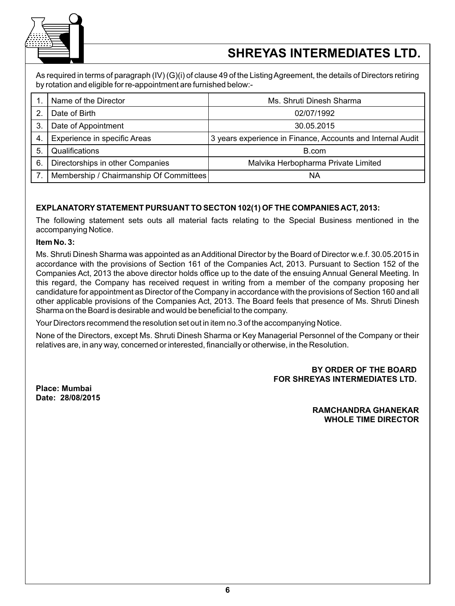

As required in terms of paragraph (IV) (G)(i) of clause 49 of the Listing Agreement, the details of Directors retiring by rotation and eligible for re-appointment are furnished below:-

|    | Name of the Director                    | Ms. Shruti Dinesh Sharma                                   |
|----|-----------------------------------------|------------------------------------------------------------|
|    | Date of Birth                           | 02/07/1992                                                 |
| 3. | Date of Appointment                     | 30.05.2015                                                 |
| 4. | Experience in specific Areas            | 3 years experience in Finance, Accounts and Internal Audit |
| 5  | Qualifications                          | B.com                                                      |
| 6. | Directorships in other Companies        | Malvika Herbopharma Private Limited                        |
|    | Membership / Chairmanship Of Committees | ΝA                                                         |

#### **EXPLANATORYSTATEMENT PURSUANT TO SECTON 102(1) OF THE COMPANIES ACT, 2013:**

The following statement sets outs all material facts relating to the Special Business mentioned in the accompanying Notice.

#### **Item No. 3:**

Ms. Shruti Dinesh Sharma was appointed as an Additional Director by the Board of Director w.e.f. 30.05.2015 in accordance with the provisions of Section 161 of the Companies Act, 2013. Pursuant to Section 152 of the Companies Act, 2013 the above director holds office up to the date of the ensuing Annual General Meeting. In this regard, the Company has received request in writing from a member of the company proposing her candidature for appointment as Director of the Company in accordance with the provisions of Section 160 and all other applicable provisions of the Companies Act, 2013. The Board feels that presence of Ms. Shruti Dinesh Sharma on the Board is desirable and would be beneficial to the company.

Your Directors recommend the resolution set out in item no.3 of the accompanying Notice.

None of the Directors, except Ms. Shruti Dinesh Sharma or Key Managerial Personnel of the Company or their relatives are, in any way, concerned or interested, financially or otherwise, in the Resolution.

#### **BY ORDER OF THE BOARD FOR SHREYAS INTERMEDIATES LTD.**

**Place: Mumbai Date: 28/08/2015**

> **RAMCHANDRA GHANEKAR WHOLE TIME DIRECTOR**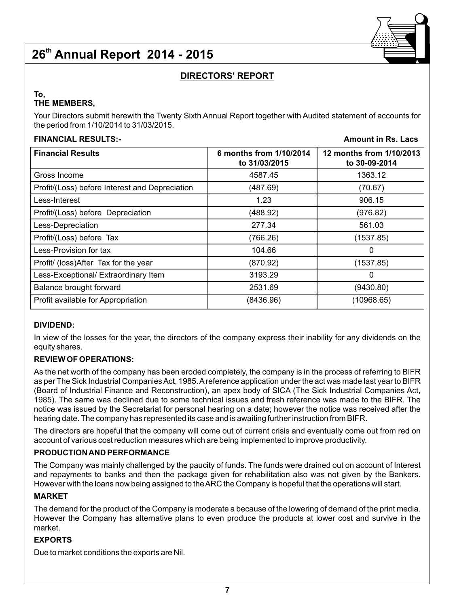#### **DIRECTORS' REPORT**

#### **THE MEMBERS, To,**

Your Directors submit herewith the Twenty Sixth Annual Report together with Audited statement of accounts for the period from 1/10/2014 to 31/03/2015.

#### **FINANCIAL RESULTS:- Amount in Rs. Lacs**

| <b>Financial Results</b>                       | 6 months from 1/10/2014<br>to 31/03/2015 | 12 months from 1/10/2013<br>to 30-09-2014 |
|------------------------------------------------|------------------------------------------|-------------------------------------------|
| Gross Income                                   | 4587.45                                  | 1363.12                                   |
| Profit/(Loss) before Interest and Depreciation | (487.69)                                 | (70.67)                                   |
| Less-Interest                                  | 1.23                                     | 906.15                                    |
| Profit/(Loss) before Depreciation              | (488.92)                                 | (976.82)                                  |
| Less-Depreciation                              | 277.34                                   | 561.03                                    |
| Profit/(Loss) before Tax                       | (766.26)                                 | (1537.85)                                 |
| Less-Provision for tax                         | 104.66                                   | 0                                         |
| Profit/ (loss) After Tax for the year          | (870.92)                                 | (1537.85)                                 |
| Less-Exceptional/ Extraordinary Item           | 3193.29                                  | 0                                         |
| Balance brought forward                        | 2531.69                                  | (9430.80)                                 |
| Profit available for Appropriation             | (8436.96)                                | (10968.65)                                |

#### **DIVIDEND:**

In view of the losses for the year, the directors of the company express their inability for any dividends on the equity shares.

#### **REVIEW OF OPERATIONS:**

As the net worth of the company has been eroded completely, the company is in the process of referring to BIFR as per The Sick Industrial Companies Act, 1985. Areference application under the act was made last year to BIFR (Board of Industrial Finance and Reconstruction), an apex body of SICA (The Sick Industrial Companies Act, 1985). The same was declined due to some technical issues and fresh reference was made to the BIFR. The notice was issued by the Secretariat for personal hearing on a date; however the notice was received after the hearing date. The company has represented its case and is awaiting further instruction from BIFR.

The directors are hopeful that the company will come out of current crisis and eventually come out from red on account of various cost reduction measures which are being implemented to improve productivity.

#### **PRODUCTION AND PERFORMANCE**

The Company was mainly challenged by the paucity of funds. The funds were drained out on account of Interest and repayments to banks and then the package given for rehabilitation also was not given by the Bankers. However with the loans now being assigned to the ARC the Company is hopeful that the operations will start.

#### **MARKET**

The demand for the product of the Company is moderate a because of the lowering of demand of the print media. However the Company has alternative plans to even produce the products at lower cost and survive in the market.

#### **EXPORTS**

Due to market conditions the exports are Nil.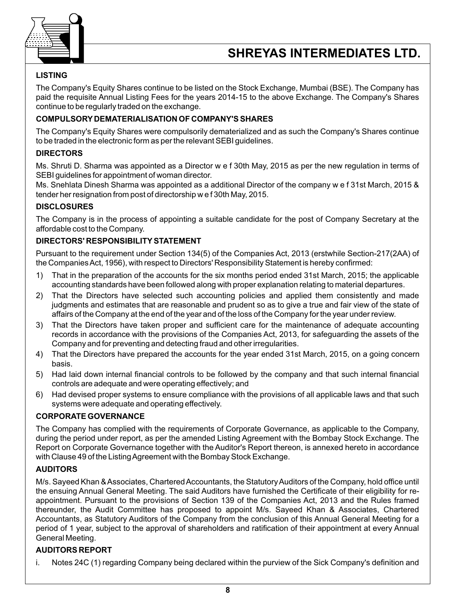

#### **LISTING**

The Company's Equity Shares continue to be listed on the Stock Exchange, Mumbai (BSE). The Company has paid the requisite Annual Listing Fees for the years 2014-15 to the above Exchange. The Company's Shares continue to be regularly traded on the exchange.

#### **COMPULSORY DEMATERIALISATION OF COMPANY'S SHARES**

The Company's Equity Shares were compulsorily dematerialized and as such the Company's Shares continue to be traded in the electronic form as per the relevant SEBI guidelines.

#### **DIRECTORS**

Ms. Shruti D. Sharma was appointed as a Director w e f 30th May, 2015 as per the new regulation in terms of SEBI guidelines for appointment of woman director.

Ms. Snehlata Dinesh Sharma was appointed as a additional Director of the company w e f 31st March, 2015 & tender her resignation from post of directorship w e f 30th May, 2015.

#### **DISCLOSURES**

The Company is in the process of appointing a suitable candidate for the post of Company Secretary at the affordable cost to the Company.

#### **DIRECTORS' RESPONSIBILITYSTATEMENT**

Pursuant to the requirement under Section 134(5) of the Companies Act, 2013 (erstwhile Section-217(2AA) of the Companies Act, 1956), with respect to Directors' Responsibility Statement is hereby confirmed:

- 1) That in the preparation of the accounts for the six months period ended 31st March, 2015; the applicable accounting standards have been followed along with proper explanation relating to material departures.
- 2) That the Directors have selected such accounting policies and applied them consistently and made judgments and estimates that are reasonable and prudent so as to give a true and fair view of the state of affairs of the Company at the end of the year and of the loss of the Company for the year under review.
- 3) That the Directors have taken proper and sufficient care for the maintenance of adequate accounting records in accordance with the provisions of the Companies Act, 2013, for safeguarding the assets of the Company and for preventing and detecting fraud and other irregularities.
- 4) That the Directors have prepared the accounts for the year ended 31st March, 2015, on a going concern basis.
- 5) Had laid down internal financial controls to be followed by the company and that such internal financial controls are adequate and were operating effectively; and
- 6) Had devised proper systems to ensure compliance with the provisions of all applicable laws and that such systems were adequate and operating effectively.

#### **CORPORATE GOVERNANCE**

The Company has complied with the requirements of Corporate Governance, as applicable to the Company, during the period under report, as per the amended Listing Agreement with the Bombay Stock Exchange. The Report on Corporate Governance together with the Auditor's Report thereon, is annexed hereto in accordance with Clause 49 of the Listing Agreement with the Bombay Stock Exchange.

#### **AUDITORS**

M/s. Sayeed Khan & Associates, Chartered Accountants, the Statutory Auditors of the Company, hold office until the ensuing Annual General Meeting. The said Auditors have furnished the Certificate of their eligibility for reappointment. Pursuant to the provisions of Section 139 of the Companies Act, 2013 and the Rules framed thereunder, the Audit Committee has proposed to appoint M/s. Sayeed Khan & Associates, Chartered Accountants, as Statutory Auditors of the Company from the conclusion of this Annual General Meeting for a period of 1 year, subject to the approval of shareholders and ratification of their appointment at every Annual General Meeting.

#### **AUDITORS REPORT**

i. Notes 24C (1) regarding Company being declared within the purview of the Sick Company's definition and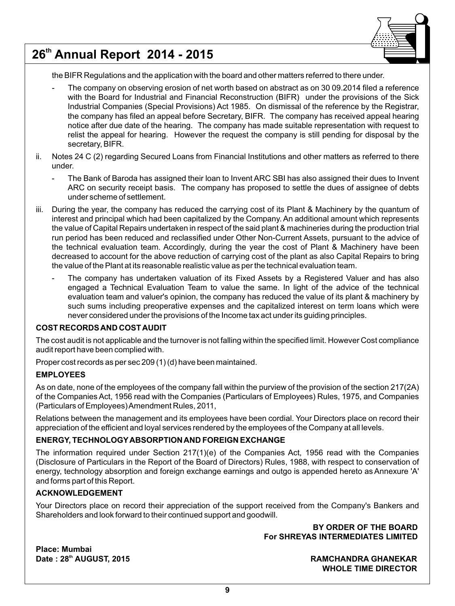the BIFR Regulations and the application with the board and other matters referred to there under.

- The company on observing erosion of net worth based on abstract as on 30 09.2014 filed a reference with the Board for Industrial and Financial Reconstruction (BIFR) under the provisions of the Sick Industrial Companies (Special Provisions) Act 1985. On dismissal of the reference by the Registrar, the company has filed an appeal before Secretary, BIFR. The company has received appeal hearing notice after due date of the hearing. The company has made suitable representation with request to relist the appeal for hearing. However the request the company is still pending for disposal by the secretary, BIFR.
- ii. Notes 24 C (2) regarding Secured Loans from Financial Institutions and other matters as referred to there under.
	- The Bank of Baroda has assigned their loan to Invent ARC SBI has also assigned their dues to Invent ARC on security receipt basis. The company has proposed to settle the dues of assignee of debts under scheme of settlement.
- iii. During the year, the company has reduced the carrying cost of its Plant & Machinery by the quantum of interest and principal which had been capitalized by the Company. An additional amount which represents the value of Capital Repairs undertaken in respect of the said plant & machineries during the production trial run period has been reduced and reclassified under Other Non-Current Assets, pursuant to the advice of the technical evaluation team. Accordingly, during the year the cost of Plant & Machinery have been decreased to account for the above reduction of carrying cost of the plant as also Capital Repairs to bring the value of the Plant at its reasonable realistic value as per the technical evaluation team.
	- The company has undertaken valuation of its Fixed Assets by a Registered Valuer and has also engaged a Technical Evaluation Team to value the same. In light of the advice of the technical evaluation team and valuer's opinion, the company has reduced the value of its plant & machinery by such sums including preoperative expenses and the capitalized interest on term loans which were never considered under the provisions of the Income tax act under its guiding principles.

#### **COST RECORDS AND COST AUDIT**

The cost audit is not applicable and the turnover is not falling within the specified limit. However Cost compliance audit report have been complied with.

Proper cost records as per sec 209 (1) (d) have been maintained.

#### **EMPLOYEES**

As on date, none of the employees of the company fall within the purview of the provision of the section 217(2A) of the Companies Act, 1956 read with the Companies (Particulars of Employees) Rules, 1975, and Companies (Particulars of Employees) Amendment Rules, 2011,

Relations between the management and its employees have been cordial. Your Directors place on record their appreciation of the efficient and loyal services rendered by the employees of the Company at all levels.

#### **ENERGY, TECHNOLOGYABSORPTION AND FOREIGN EXCHANGE**

The information required under Section 217(1)(e) of the Companies Act, 1956 read with the Companies (Disclosure of Particulars in the Report of the Board of Directors) Rules, 1988, with respect to conservation of energy, technology absorption and foreign exchange earnings and outgo is appended hereto as Annexure 'A' and forms part of this Report.

#### **ACKNOWLEDGEMENT**

Your Directors place on record their appreciation of the support received from the Company's Bankers and Shareholders and look forward to their continued support and goodwill.

> **BY ORDER OF THE BOARD For SHREYAS INTERMEDIATES LIMITED**

**Place: Mumbai th Date : 28 AUGUST, 2015 RAMCHANDRA GHANEKAR**

**WHOLE TIME DIRECTOR**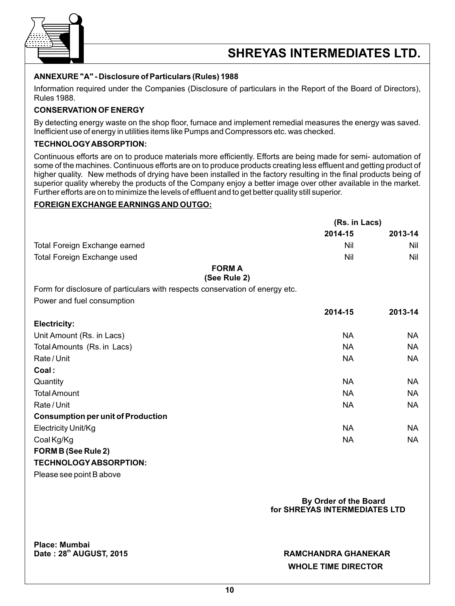

#### **ANNEXURE "A" - Disclosure of Particulars (Rules) 1988**

Information required under the Companies (Disclosure of particulars in the Report of the Board of Directors), Rules 1988.

#### **CONSERVATION OF ENERGY**

By detecting energy waste on the shop floor, furnace and implement remedial measures the energy was saved. Inefficient use of energy in utilities items like Pumps and Compressors etc. was checked.

#### **TECHNOLOGYABSORPTION:**

Continuous efforts are on to produce materials more efficiently. Efforts are being made for semi- automation of some of the machines. Continuous efforts are on to produce products creating less effluent and getting product of higher quality. New methods of drying have been installed in the factory resulting in the final products being of superior quality whereby the products of the Company enjoy a better image over other available in the market. Further efforts are on to minimize the levels of effluent and to get better quality still superior.

#### **FOREIGN EXCHANGE EARNINGS AND OUTGO:**

|                                                                              | (Rs. in Lacs) |         |  |
|------------------------------------------------------------------------------|---------------|---------|--|
|                                                                              | 2014-15       | 2013-14 |  |
| Total Foreign Exchange earned                                                | Nil           | Nil     |  |
| Total Foreign Exchange used                                                  | Nil           | Nil     |  |
| <b>FORM A</b><br>(See Rule 2)                                                |               |         |  |
| Form for disclosure of particulars with respects conservation of energy etc. |               |         |  |
| Power and fuel consumption                                                   |               |         |  |
|                                                                              | 2014-15       | 2013-14 |  |
| <b>Electricity:</b>                                                          |               |         |  |
| Unit Amount (Rs. in Lacs)                                                    | <b>NA</b>     | NA.     |  |
| Total Amounts (Rs. in Lacs)                                                  | <b>NA</b>     | NA.     |  |
| Rate / Unit                                                                  | <b>NA</b>     | NA.     |  |
| Coal:                                                                        |               |         |  |
| Quantity                                                                     | NA.           | NA.     |  |
| <b>Total Amount</b>                                                          | NA.           | NA.     |  |
| Rate / Unit                                                                  | <b>NA</b>     | NA.     |  |
| <b>Consumption per unit of Production</b>                                    |               |         |  |
| Electricity Unit/Kg                                                          | <b>NA</b>     | NA.     |  |
| Coal Kg/Kg                                                                   | <b>NA</b>     | NA.     |  |
| <b>FORM B (See Rule 2)</b>                                                   |               |         |  |

**TECHNOLOGYABSORPTION:**

Please see point B above

#### **By Order of the Board for SHREYAS INTERMEDIATES LTD**

**Place: Mumbai** Date: 28<sup>th</sup> AUGUST, 2015

#### **th 28 AUGUST, 2015 RAMCHANDRA GHANEKAR WHOLE TIME DIRECTOR**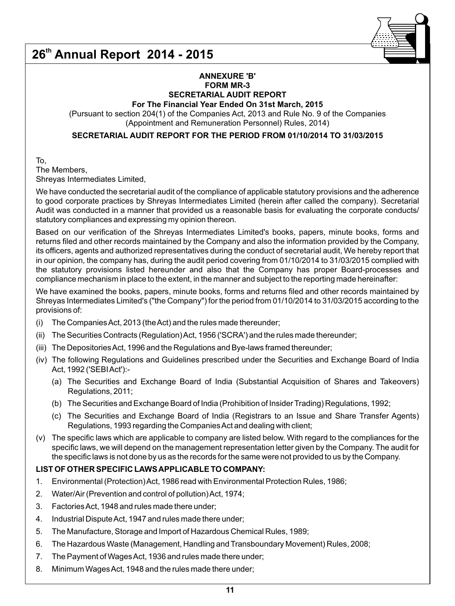#### **ANNEXURE 'B' FORM MR-3 SECRETARIAL AUDIT REPORT**

**For The Financial Year Ended On 31st March, 2015**

(Pursuant to section 204(1) of the Companies Act, 2013 and Rule No. 9 of the Companies (Appointment and Remuneration Personnel) Rules, 2014)

**SECRETARIAL AUDIT REPORT FOR THE PERIOD FROM 01/10/2014 TO 31/03/2015**

To,

The Members, Shreyas Intermediates Limited,

We have conducted the secretarial audit of the compliance of applicable statutory provisions and the adherence to good corporate practices by Shreyas Intermediates Limited (herein after called the company). Secretarial Audit was conducted in a manner that provided us a reasonable basis for evaluating the corporate conducts/ statutory compliances and expressing my opinion thereon.

Based on our verification of the Shreyas Intermediates Limited's books, papers, minute books, forms and returns filed and other records maintained by the Company and also the information provided by the Company, its officers, agents and authorized representatives during the conduct of secretarial audit, We hereby report that in our opinion, the company has, during the audit period covering from 01/10/2014 to 31/03/2015 complied with the statutory provisions listed hereunder and also that the Company has proper Board-processes and compliance mechanism in place to the extent, in the manner and subject to the reporting made hereinafter:

We have examined the books, papers, minute books, forms and returns filed and other records maintained by Shreyas Intermediates Limited's ("the Company") for the period from 01/10/2014 to 31/03/2015 according to the provisions of:

- (i) The Companies Act, 2013 (the Act) and the rules made thereunder;
- (ii) The Securities Contracts (Regulation) Act, 1956 ('SCRA') and the rules made thereunder;
- (iii) The Depositories Act, 1996 and the Regulations and Bye-laws framed thereunder;
- (iv) The following Regulations and Guidelines prescribed under the Securities and Exchange Board of India Act, 1992 ('SEBI Act'):-
	- (a) The Securities and Exchange Board of India (Substantial Acquisition of Shares and Takeovers) Regulations, 2011;
	- (b) The Securities and Exchange Board of India (Prohibition of Insider Trading) Regulations, 1992;
	- (c) The Securities and Exchange Board of India (Registrars to an Issue and Share Transfer Agents) Regulations, 1993 regarding the Companies Act and dealing with client;
- (v) The specific laws which are applicable to company are listed below. With regard to the compliances for the specific laws, we will depend on the management representation letter given by the Company. The audit for the specific laws is not done by us as the records for the same were not provided to us by the Company.

#### **LIST OF OTHER SPECIFIC LAWS APPLICABLE TO COMPANY:**

- 1. Environmental (Protection) Act, 1986 read with Environmental Protection Rules, 1986;
- 2. Water/Air (Prevention and control of pollution) Act, 1974;
- 3. Factories Act, 1948 and rules made there under;
- 4. Industrial Dispute Act, 1947 and rules made there under;
- 5. The Manufacture, Storage and Import of Hazardous Chemical Rules, 1989;
- 6. The Hazardous Waste (Management, Handling and Transboundary Movement) Rules, 2008;
- 7. The Payment of Wages Act, 1936 and rules made there under;
- 8. Minimum Wages Act, 1948 and the rules made there under;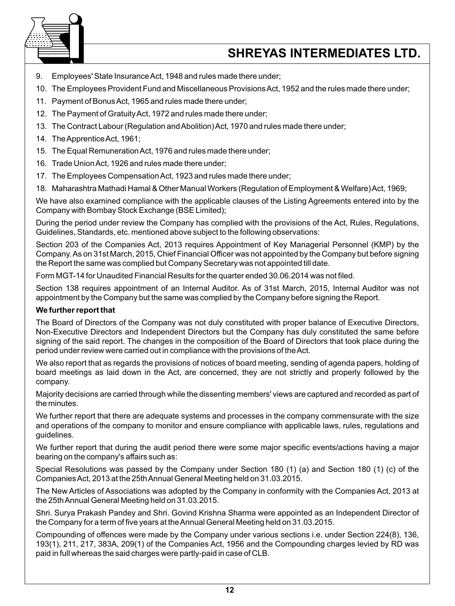

- 9. Employees' State Insurance Act, 1948 and rules made there under;
- 10. The Employees Provident Fund and Miscellaneous Provisions Act, 1952 and the rules made there under;
- 11. Payment of Bonus Act, 1965 and rules made there under;
- 12. The Payment of Gratuity Act, 1972 and rules made there under;
- 13. The Contract Labour (Regulation and Abolition) Act, 1970 and rules made there under;
- 14. The Apprentice Act, 1961;
- 15. The Equal Remuneration Act, 1976 and rules made there under;
- 16. Trade Union Act, 1926 and rules made there under;
- 17. The Employees Compensation Act, 1923 and rules made there under;
- 18. Maharashtra Mathadi Hamal & Other Manual Workers (Regulation of Employment & Welfare) Act, 1969;

We have also examined compliance with the applicable clauses of the Listing Agreements entered into by the Company with Bombay Stock Exchange (BSE Limited);

During the period under review the Company has complied with the provisions of the Act, Rules, Regulations, Guidelines, Standards, etc. mentioned above subject to the following observations:

Section 203 of the Companies Act, 2013 requires Appointment of Key Managerial Personnel (KMP) by the Company. As on 31st March, 2015, Chief Financial Officer was not appointed by the Company but before signing the Report the same was complied but Company Secretary was not appointed till date.

Form MGT-14 for Unaudited Financial Results for the quarter ended 30.06.2014 was not filed.

Section 138 requires appointment of an Internal Auditor. As of 31st March, 2015, Internal Auditor was not appointment by the Company but the same was complied by the Company before signing the Report.

#### **We further report that**

The Board of Directors of the Company was not duly constituted with proper balance of Executive Directors, Non-Executive Directors and Independent Directors but the Company has duly constituted the same before signing of the said report. The changes in the composition of the Board of Directors that took place during the period under review were carried out in compliance with the provisions of the Act.

We also report that as regards the provisions of notices of board meeting, sending of agenda papers, holding of board meetings as laid down in the Act, are concerned, they are not strictly and properly followed by the company.

Majority decisions are carried through while the dissenting members' views are captured and recorded as part of the minutes.

We further report that there are adequate systems and processes in the company commensurate with the size and operations of the company to monitor and ensure compliance with applicable laws, rules, regulations and guidelines.

We further report that during the audit period there were some major specific events/actions having a major bearing on the company's affairs such as:

Special Resolutions was passed by the Company under Section 180 (1) (a) and Section 180 (1) (c) of the Companies Act, 2013 at the 25th Annual General Meeting held on 31.03.2015.

The New Articles of Associations was adopted by the Company in conformity with the Companies Act, 2013 at the 25th Annual General Meeting held on 31.03.2015.

Shri. Surya Prakash Pandey and Shri. Govind Krishna Sharma were appointed as an Independent Director of the Company for a term of five years at the Annual General Meeting held on 31.03.2015.

Compounding of offences were made by the Company under various sections i.e. under Section 224(8), 136, 193(1), 211, 217, 383A, 209(1) of the Companies Act, 1956 and the Compounding charges levied by RD was paid in full whereas the said charges were partly-paid in case of CLB.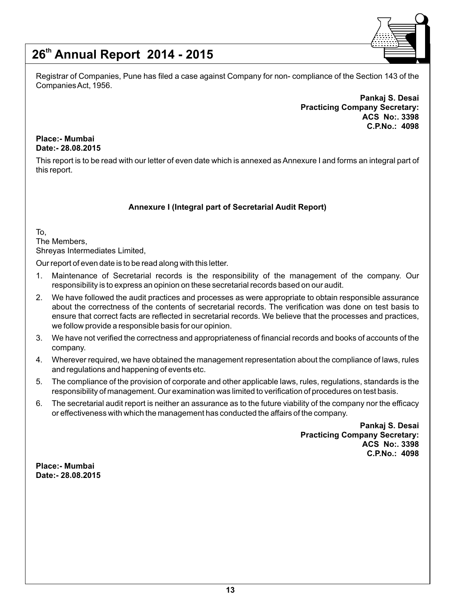

Registrar of Companies, Pune has filed a case against Company for non- compliance of the Section 143 of the Companies Act, 1956.

> **Pankaj S. Desai Practicing Company Secretary: ACS No:. 3398 C.P.No.: 4098**

#### **Place:- Mumbai Date:- 28.08.2015**

This report is to be read with our letter of even date which is annexed as Annexure I and forms an integral part of this report.

#### **Annexure I (Integral part of Secretarial Audit Report)**

To, The Members, Shreyas Intermediates Limited,

Our report of even date is to be read along with this letter.

- 1. Maintenance of Secretarial records is the responsibility of the management of the company. Our responsibility is to express an opinion on these secretarial records based on our audit.
- 2. We have followed the audit practices and processes as were appropriate to obtain responsible assurance about the correctness of the contents of secretarial records. The verification was done on test basis to ensure that correct facts are reflected in secretarial records. We believe that the processes and practices, we follow provide a responsible basis for our opinion.
- 3. We have not verified the correctness and appropriateness of financial records and books of accounts of the company.
- 4. Wherever required, we have obtained the management representation about the compliance of laws, rules and regulations and happening of events etc.
- 5. The compliance of the provision of corporate and other applicable laws, rules, regulations, standards is the responsibility of management. Our examination was limited to verification of procedures on test basis.
- 6. The secretarial audit report is neither an assurance as to the future viability of the company nor the efficacy or effectiveness with which the management has conducted the affairs of the company.

**Pankaj S. Desai Practicing Company Secretary: ACS No:. 3398 C.P.No.: 4098**

**Place:- Mumbai Date:- 28.08.2015**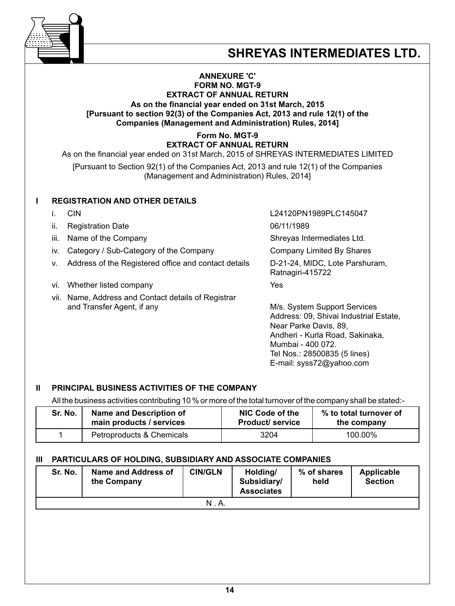

#### **ANNEXURE 'C' FORM NO. MGT-9 EXTRACT OF ANNUAL RETURN As on the financial year ended on 31st March, 2015 [Pursuant to section 92(3) of the Companies Act, 2013 and rule 12(1) of the Companies (Management and Administration) Rules, 2014]**

#### **Form No. MGT-9 EXTRACT OF ANNUAL RETURN**

As on the financial year ended on 31st March, 2015 of SHREYAS INTERMEDIATES LIMITED [Pursuant to Section 92(1) of the Companies Act, 2013 and rule 12(1) of the Companies (Management and Administration) Rules, 2014]

#### **I REGISTRATION AND OTHER DETAILS**

- 
- ii. Registration Date 06/11/1989
- 
- iv. Category / Sub-Category of the Company Company Limited By Shares
- v. Address of the Registered office and contact details D-21-24, MIDC, Lote Parshuram,
- vi. Whether listed company views and the Yes
- vii. Name, Address and Contact details of Registrar and Transfer Agent, if any M/s. System Support Services

i. CIN L24120PN1989PLC145047

iii. Name of the Company Shreyas Intermediates Ltd.

Ratnagiri-415722

Address: 09, Shivai Industrial Estate, Near Parke Davis, 89, Andheri - Kurla Road, Sakinaka, Mumbai - 400 072. Tel Nos.: 28500835 (5 lines) E-mail: syss72@yahoo.com

#### **II PRINCIPAL BUSINESS ACTIVITIES OF THE COMPANY**

All the business activities contributing 10 % or more of the total turnover of the company shall be stated:-

| Sr. No. | Name and Description of   | NIC Code of the        | % to total turnover of |
|---------|---------------------------|------------------------|------------------------|
|         | main products / services  | <b>Product/service</b> | the company            |
|         | Petroproducts & Chemicals | 3204                   | 100.00%                |

#### **III PARTICULARS OF HOLDING, SUBSIDIARY AND ASSOCIATE COMPANIES**

| Sr. No.       | Name and Address of<br>the Company | <b>CIN/GLN</b> | Holding/<br>Subsidiary/<br><b>Associates</b> | % of shares<br>held | Applicable<br><b>Section</b> |  |  |
|---------------|------------------------------------|----------------|----------------------------------------------|---------------------|------------------------------|--|--|
| <b>N</b> . A. |                                    |                |                                              |                     |                              |  |  |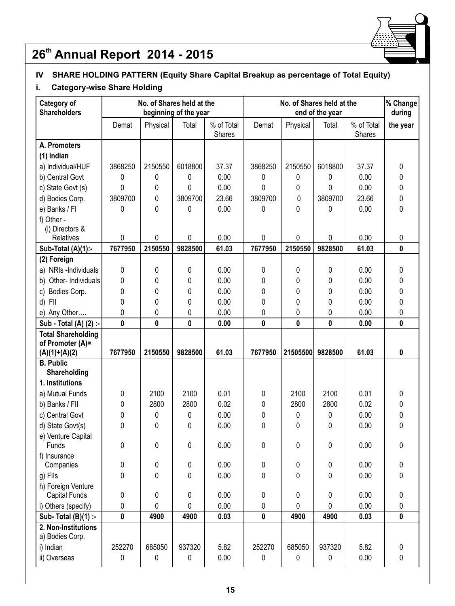

### **IV SHARE HOLDING PATTERN (Equity Share Capital Breakup as percentage of Total Equity)**

### **i. Category-wise Share Holding**

| Category of<br><b>Shareholders</b>                  |           | No. of Shares held at the | beginning of the year |                             | No. of Shares held at the<br>end of the year |          |           | % Change<br>during   |          |
|-----------------------------------------------------|-----------|---------------------------|-----------------------|-----------------------------|----------------------------------------------|----------|-----------|----------------------|----------|
|                                                     | Demat     | Physical                  | Total                 | % of Total<br><b>Shares</b> | Demat                                        | Physical | Total     | % of Total<br>Shares | the year |
| A. Promoters                                        |           |                           |                       |                             |                                              |          |           |                      |          |
| (1) Indian                                          |           |                           |                       |                             |                                              |          |           |                      |          |
| a) Individual/HUF                                   | 3868250   | 2150550                   | 6018800               | 37.37                       | 3868250                                      | 2150550  | 6018800   | 37.37                | 0        |
| b) Central Govt                                     | 0         | 0                         | 0                     | 0.00                        | 0                                            | 0        | 0         | 0.00                 | 0        |
| c) State Govt (s)                                   | 0         | 0                         | 0                     | 0.00                        | 0                                            | 0        | 0         | 0.00                 | 0        |
| d) Bodies Corp.                                     | 3809700   | 0                         | 3809700               | 23.66                       | 3809700                                      | 0        | 3809700   | 23.66                | 0        |
| e) Banks / Fl                                       | 0         | 0                         | 0                     | 0.00                        | 0                                            | 0        | 0         | 0.00                 | 0        |
| f) Other -                                          |           |                           |                       |                             |                                              |          |           |                      |          |
| (i) Directors &                                     |           |                           |                       |                             |                                              |          |           |                      |          |
| Relatives                                           | 0         | 0                         | 0                     | 0.00                        | 0                                            | 0        | 0         | 0.00                 | 0        |
| Sub-Total (A)(1):-                                  | 7677950   | 2150550                   | 9828500               | 61.03                       | 7677950                                      | 2150550  | 9828500   | 61.03                | 0        |
| (2) Foreign                                         |           |                           |                       |                             |                                              |          |           |                      |          |
| a) NRIs-Individuals                                 | 0         | 0                         | 0                     | 0.00                        | 0                                            | 0        | 0         | 0.00                 | 0        |
| b) Other- Individuals                               | 0         | 0                         | 0                     | 0.00                        | 0                                            | 0        | 0         | 0.00                 | 0        |
| c) Bodies Corp.<br>d) FII                           | 0<br>0    | 0<br>0                    | 0                     | 0.00                        | 0                                            | 0<br>0   | 0<br>0    | 0.00<br>0.00         | 0        |
|                                                     | 0         | 0                         | 0<br>0                | 0.00                        | 0                                            | 0        | 0         |                      | 0<br>0   |
| e) Any Other                                        | 0         | 0                         | 0                     | 0.00                        | 0                                            | 0        | 0         | 0.00                 | 0        |
| Sub - Total (A) (2) :-<br><b>Total Shareholding</b> |           |                           |                       | 0.00                        | 0                                            |          |           | 0.00                 |          |
| of Promoter (A)=                                    |           |                           |                       |                             |                                              |          |           |                      |          |
| $(A)(1)+(A)(2)$                                     | 7677950   | 2150550                   | 9828500               | 61.03                       | 7677950                                      | 21505500 | 9828500   | 61.03                | 0        |
| <b>B. Public</b>                                    |           |                           |                       |                             |                                              |          |           |                      |          |
| Shareholding                                        |           |                           |                       |                             |                                              |          |           |                      |          |
| 1. Institutions                                     |           |                           |                       |                             |                                              |          |           |                      |          |
| a) Mutual Funds                                     | 0         | 2100                      | 2100                  | 0.01                        | 0                                            | 2100     | 2100      | 0.01                 | 0        |
| b) Banks / Fll                                      | 0         | 2800                      | 2800                  | 0.02                        | 0                                            | 2800     | 2800      | 0.02                 | 0        |
| c) Central Govt                                     | 0         | 0                         | 0                     | 0.00                        | 0                                            | 0        | 0         | 0.00                 | 0        |
| d) State Govt(s)                                    | 0         | 0                         | 0                     | 0.00                        | 0                                            | 0        | 0         | 0.00                 | 0        |
| e) Venture Capital                                  |           |                           |                       |                             |                                              |          |           |                      |          |
| Funds                                               | 0         | 0                         | 0                     | 0.00                        | 0                                            | 0        | 0         | 0.00                 | 0        |
| f) Insurance                                        |           |                           |                       |                             |                                              |          |           |                      |          |
| Companies                                           | 0<br>0    | 0                         | 0                     | 0.00                        | 0                                            | 0<br>0   | 0         | 0.00                 | 0        |
| g) Flls                                             |           | 0                         | 0                     | 0.00                        | 0                                            |          | 0         | 0.00                 | 0        |
| h) Foreign Venture<br>Capital Funds                 | $\pmb{0}$ | 0                         | $\pmb{0}$             | 0.00                        | $\pmb{0}$                                    | 0        | $\pmb{0}$ | 0.00                 | 0        |
| i) Others (specify)                                 | 0         | 0                         | 0                     | 0.00                        | 0                                            | 0        | 0         | 0.00                 | 0        |
| Sub- Total (B)(1) :-                                | $\pmb{0}$ | 4900                      | 4900                  | 0.03                        | $\pmb{0}$                                    | 4900     | 4900      | 0.03                 | 0        |
| 2. Non-Institutions                                 |           |                           |                       |                             |                                              |          |           |                      |          |
| a) Bodies Corp.                                     |           |                           |                       |                             |                                              |          |           |                      |          |
| i) Indian                                           | 252270    | 685050                    | 937320                | 5.82                        | 252270                                       | 685050   | 937320    | 5.82                 | 0        |
| ii) Overseas                                        | 0         | 0                         | 0                     | 0.00                        | 0                                            | 0        | 0         | 0.00                 | 0        |
|                                                     |           |                           |                       |                             |                                              |          |           |                      |          |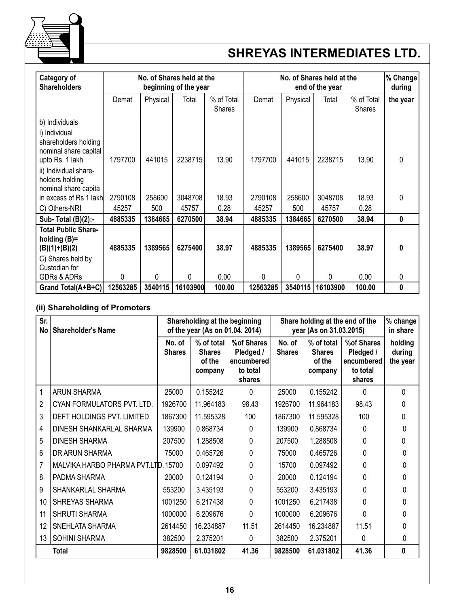

| Category of<br><b>Shareholders</b>                                                         |          |          | No. of Shares held at the<br>beginning of the year |                      | No. of Shares held at the<br>end of the year |          |          |                      | % Change<br>during |
|--------------------------------------------------------------------------------------------|----------|----------|----------------------------------------------------|----------------------|----------------------------------------------|----------|----------|----------------------|--------------------|
|                                                                                            | Demat    | Physical | Total                                              | % of Total<br>Shares | Demat                                        | Physical | Total    | % of Total<br>Shares | the year           |
| b) Individuals                                                                             |          |          |                                                    |                      |                                              |          |          |                      |                    |
| i) Individual<br>shareholders holding<br>nominal share capital<br>upto Rs. 1 lakh          | 1797700  | 441015   | 2238715                                            | 13.90                | 1797700                                      | 441015   | 2238715  | 13.90                | 0                  |
| ii) Individual share-<br>holders holding<br>nominal share capita<br>in excess of Rs 1 lakh | 2790108  | 258600   | 3048708                                            | 18.93                | 2790108                                      | 258600   | 3048708  | 18.93                | <sup>0</sup>       |
| C) Others-NRI                                                                              | 45257    | 500      | 45757                                              | 0.28                 | 45257                                        | 500      | 45757    | 0.28                 |                    |
| Sub- Total (B)(2):-                                                                        | 4885335  | 1384665  | 6270500                                            | 38.94                | 4885335                                      | 1384665  | 6270500  | 38.94                | 0                  |
| <b>Total Public Share-</b><br>holding $(B)=$<br>$(B)(1)+(B)(2)$                            | 4885335  | 1389565  | 6275400                                            | 38.97                | 4885335                                      | 1389565  | 6275400  | 38.97                | 0                  |
| C) Shares held by<br>Custodian for                                                         |          |          |                                                    |                      |                                              |          |          |                      |                    |
| <b>GDRs &amp; ADRs</b>                                                                     | 0        | 0        | 0                                                  | 0.00                 | $\Omega$                                     | 0        | 0        | 0.00                 | $\Omega$           |
| Grand Total(A+B+C)                                                                         | 12563285 | 3540115  | 16103900                                           | 100.00               | 12563285                                     | 3540115  | 16103900 | 100.00               | 0                  |

#### **(ii) Shareholding of Promoters**

| Sr.<br><b>No</b> | <b>Shareholder's Name</b>           | Shareholding at the beginning<br>of the year (As on 01.04. 2014) |                                                  |                                                             | Share holding at the end of the<br>year (As on 31.03.2015) | % change<br>in share                             |                                                             |                               |
|------------------|-------------------------------------|------------------------------------------------------------------|--------------------------------------------------|-------------------------------------------------------------|------------------------------------------------------------|--------------------------------------------------|-------------------------------------------------------------|-------------------------------|
|                  |                                     | No. of<br><b>Shares</b>                                          | % of total<br><b>Shares</b><br>of the<br>company | %of Shares<br>Pledged /<br>encumbered<br>to total<br>shares | No. of<br><b>Shares</b>                                    | % of total<br><b>Shares</b><br>of the<br>company | %of Shares<br>Pledged /<br>encumbered<br>to total<br>shares | holding<br>during<br>the year |
| $\mathbf 1$      | <b>ARUN SHARMA</b>                  | 25000                                                            | 0.155242                                         | 0                                                           | 25000                                                      | 0.155242                                         | $\Omega$                                                    | 0                             |
| $\mathfrak{p}$   | CYAN FORMULATORS PVT. LTD.          | 1926700                                                          | 11.964183                                        | 98.43                                                       | 1926700                                                    | 11.964183                                        | 98.43                                                       | 0                             |
| 3                | DEFT HOLDINGS PVT. LIMITED          | 1867300                                                          | 11.595328                                        | 100                                                         | 1867300                                                    | 11.595328                                        | 100                                                         | 0                             |
| 4                | DINESH SHANKARLAL SHARMA            | 139900                                                           | 0.868734                                         | U                                                           | 139900                                                     | 0.868734                                         | <sup>0</sup>                                                | 0                             |
| 5                | <b>DINESH SHARMA</b>                | 207500                                                           | 1.288508                                         | U                                                           | 207500                                                     | 1.288508                                         | 0                                                           | 0                             |
| 6                | DR ARUN SHARMA                      | 75000                                                            | 0.465726                                         | 0                                                           | 75000                                                      | 0.465726                                         | 0                                                           | 0                             |
| 7                | MALVIKA HARBO PHARMA PVT.LTD. 15700 |                                                                  | 0.097492                                         | 0                                                           | 15700                                                      | 0.097492                                         | <sup>0</sup>                                                | 0                             |
| 8                | PADMA SHARMA                        | 20000                                                            | 0.124194                                         | 0                                                           | 20000                                                      | 0.124194                                         | 0                                                           | 0                             |
| 9                | SHANKARLAL SHARMA                   | 553200                                                           | 3.435193                                         | 0                                                           | 553200                                                     | 3.435193                                         | 0                                                           | N                             |
| 10               | SHREYAS SHARMA                      | 1001250                                                          | 6.217438                                         | 0                                                           | 1001250                                                    | 6.217438                                         | 0                                                           | N                             |
| 11               | <b>SHRUTI SHARMA</b>                | 1000000                                                          | 6.209676                                         | U                                                           | 1000000                                                    | 6.209676                                         | U                                                           | <sup>0</sup>                  |
| 12               | SNEHLATA SHARMA                     | 2614450                                                          | 16.234887                                        | 11.51                                                       | 2614450                                                    | 16.234887                                        | 11.51                                                       | U                             |
| 13               | <b>SOHINI SHARMA</b>                | 382500                                                           | 2.375201                                         | 0                                                           | 382500                                                     | 2.375201                                         | $\Omega$                                                    | 0                             |
|                  | Total                               | 9828500                                                          | 61.031802                                        | 41.36                                                       | 9828500                                                    | 61.031802                                        | 41.36                                                       | 0                             |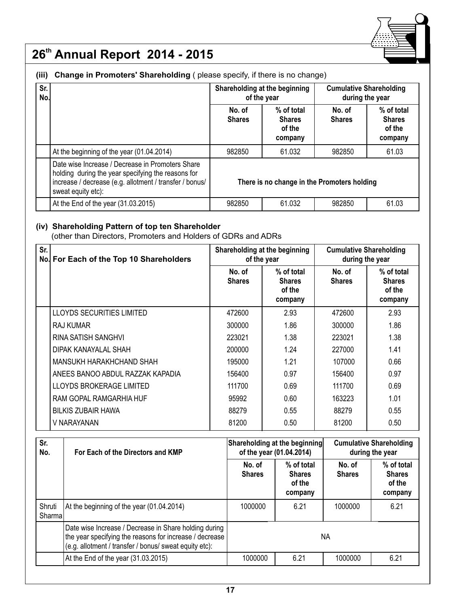| (iii)      | Change in Promoters' Shareholding (please specify, if there is no change)                                                                                                               |                                              |                                                  |                         |                                                  |  |  |  |
|------------|-----------------------------------------------------------------------------------------------------------------------------------------------------------------------------------------|----------------------------------------------|--------------------------------------------------|-------------------------|--------------------------------------------------|--|--|--|
| Sr.<br>No. |                                                                                                                                                                                         | Shareholding at the beginning<br>of the year |                                                  | during the year         | <b>Cumulative Shareholding</b>                   |  |  |  |
|            |                                                                                                                                                                                         | No. of<br><b>Shares</b>                      | % of total<br><b>Shares</b><br>of the<br>company | No. of<br><b>Shares</b> | % of total<br><b>Shares</b><br>of the<br>company |  |  |  |
|            | At the beginning of the year (01.04.2014)                                                                                                                                               | 982850                                       | 61.032                                           | 982850                  | 61.03                                            |  |  |  |
|            | Date wise Increase / Decrease in Promoters Share<br>holding during the year specifying the reasons for<br>increase / decrease (e.g. allotment / transfer / bonus/<br>sweat equity etc): | There is no change in the Promoters holding  |                                                  |                         |                                                  |  |  |  |
|            | At the End of the year (31.03.2015)                                                                                                                                                     | 982850                                       | 61.032                                           | 982850                  | 61.03                                            |  |  |  |

#### **(iv) Shareholding Pattern of top ten Shareholder**

(other than Directors, Promoters and Holders of GDRs and ADRs

| Sr. | No. For Each of the Top 10 Shareholders |                         | Shareholding at the beginning<br>of the year     | <b>Cumulative Shareholding</b><br>during the year |                                                  |  |
|-----|-----------------------------------------|-------------------------|--------------------------------------------------|---------------------------------------------------|--------------------------------------------------|--|
|     |                                         | No. of<br><b>Shares</b> | % of total<br><b>Shares</b><br>of the<br>company | No. of<br><b>Shares</b>                           | % of total<br><b>Shares</b><br>of the<br>company |  |
|     | LLOYDS SECURITIES LIMITED               | 472600                  | 2.93                                             | 472600                                            | 2.93                                             |  |
|     | RAJ KUMAR                               | 300000                  | 1.86                                             | 300000                                            | 1.86                                             |  |
|     | RINA SATISH SANGHVI                     | 223021                  | 1.38                                             | 223021                                            | 1.38                                             |  |
|     | DIPAK KANAYALAL SHAH                    | 200000                  | 1.24                                             | 227000                                            | 1.41                                             |  |
|     | MANSUKH HARAKHCHAND SHAH                | 195000                  | 1.21                                             | 107000                                            | 0.66                                             |  |
|     | ANEES BANOO ABDUL RAZZAK KAPADIA        | 156400                  | 0.97                                             | 156400                                            | 0.97                                             |  |
|     | LLOYDS BROKERAGE LIMITED                | 111700                  | 0.69                                             | 111700                                            | 0.69                                             |  |
|     | RAM GOPAL RAMGARHIA HUF                 | 95992                   | 0.60                                             | 163223                                            | 1.01                                             |  |
|     | <b>BILKIS ZUBAIR HAWA</b>               | 88279                   | 0.55                                             | 88279                                             | 0.55                                             |  |
|     | V NARAYANAN                             | 81200                   | 0.50                                             | 81200                                             | 0.50                                             |  |

| Sr.<br>No.        | For Each of the Directors and KMP                                                                                                                                          |                         | Shareholding at the beginning<br>of the year (01.04.2014) | <b>Cumulative Shareholding</b><br>during the year |                                                  |
|-------------------|----------------------------------------------------------------------------------------------------------------------------------------------------------------------------|-------------------------|-----------------------------------------------------------|---------------------------------------------------|--------------------------------------------------|
|                   |                                                                                                                                                                            | No. of<br><b>Shares</b> | % of total<br><b>Shares</b><br>of the<br>company          | No. of<br><b>Shares</b>                           | % of total<br><b>Shares</b><br>of the<br>company |
| Shruti<br>Sharmal | At the beginning of the year (01.04.2014)                                                                                                                                  | 1000000                 | 6.21                                                      | 1000000                                           | 6.21                                             |
|                   | Date wise Increase / Decrease in Share holding during<br>the year specifying the reasons for increase / decrease<br>(e.g. allotment / transfer / bonus/ sweat equity etc): |                         |                                                           | ΝA                                                |                                                  |
|                   | At the End of the year (31.03.2015)                                                                                                                                        | 1000000                 | 6.21                                                      | 1000000                                           | 6.21                                             |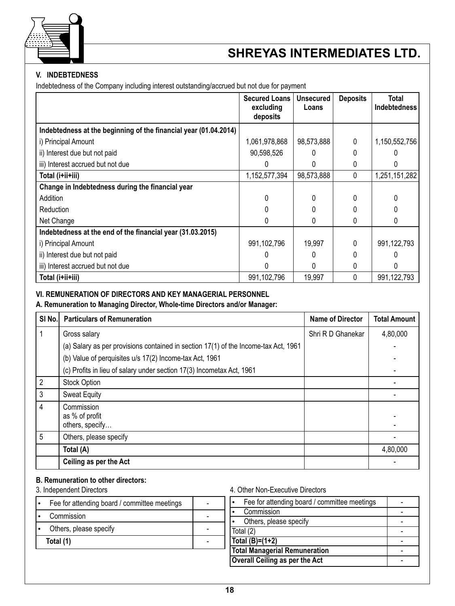

#### **V. INDEBTEDNESS**

Indebtedness of the Company including interest outstanding/accrued but not due for payment

|                                                                  | Secured Loans<br>excluding<br>deposits | <b>Unsecured</b><br>Loans | <b>Deposits</b> | Total<br><b>Indebtedness</b> |
|------------------------------------------------------------------|----------------------------------------|---------------------------|-----------------|------------------------------|
| Indebtedness at the beginning of the financial year (01.04.2014) |                                        |                           |                 |                              |
| i) Principal Amount                                              | 1,061,978,868                          | 98,573,888                | 0               | 1,150,552,756                |
| ii) Interest due but not paid                                    | 90,598,526                             |                           |                 |                              |
| iii) Interest accrued but not due                                |                                        |                           |                 |                              |
| Total (i+ii+iii)                                                 | 1,152,577,394                          | 98,573,888                | 0               | 1,251,151,282                |
| Change in Indebtedness during the financial year                 |                                        |                           |                 |                              |
| Addition                                                         |                                        |                           |                 |                              |
| Reduction                                                        |                                        |                           |                 |                              |
| Net Change                                                       |                                        |                           |                 |                              |
| Indebtedness at the end of the financial year (31.03.2015)       |                                        |                           |                 |                              |
| i) Principal Amount                                              | 991,102,796                            | 19,997                    |                 | 991,122,793                  |
| ii) Interest due but not paid                                    |                                        |                           |                 |                              |
| iii) Interest accrued but not due                                |                                        | N                         | 0               |                              |
| Total (i+ii+iii)                                                 | 991,102,796                            | 19,997                    | 0               | 991,122,793                  |

#### **VI. REMUNERATION OF DIRECTORS AND KEY MANAGERIAL PERSONNEL**

**A. Remuneration to Managing Director, Whole-time Directors and/or Manager:**

| SI <sub>No.</sub> | <b>Particulars of Remuneration</b>                                                  | <b>Name of Director</b> | <b>Total Amount</b> |
|-------------------|-------------------------------------------------------------------------------------|-------------------------|---------------------|
| 1                 | Gross salary                                                                        | Shri R D Ghanekar       | 4,80,000            |
|                   | (a) Salary as per provisions contained in section 17(1) of the Income-tax Act, 1961 |                         |                     |
|                   | (b) Value of perquisites u/s 17(2) Income-tax Act, 1961                             |                         |                     |
|                   | (c) Profits in lieu of salary under section 17(3) Incometax Act, 1961               |                         |                     |
| $\overline{2}$    | <b>Stock Option</b>                                                                 |                         |                     |
| 3                 | <b>Sweat Equity</b>                                                                 |                         |                     |
| 4                 | Commission<br>as % of profit<br>others, specify                                     |                         |                     |
| 5                 | Others, please specify                                                              |                         |                     |
|                   | Total (A)                                                                           |                         | 4,80,000            |
|                   | Ceiling as per the Act                                                              |                         |                     |

#### **B. Remuneration to other directors:**

3. Independent Directors

|           | Total (1)                                    |  |
|-----------|----------------------------------------------|--|
| $\bullet$ | Others, please specify                       |  |
| $\bullet$ | Commission                                   |  |
| $\bullet$ | Fee for attending board / committee meetings |  |

#### 4. Other Non-Executive Directors

| Fee for attending board / committee meetings |  |
|----------------------------------------------|--|
| Commission                                   |  |
| Others, please specify                       |  |
| Total (2)                                    |  |
| $Total (B)=(1+2)$                            |  |
| Total Managerial Remuneration                |  |
| <b>Overall Ceiling as per the Act</b>        |  |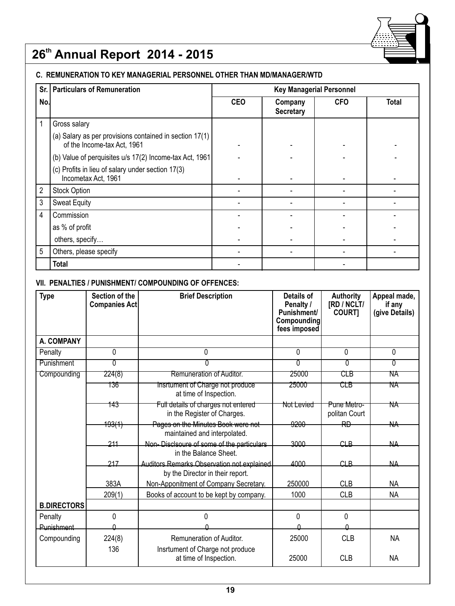

#### **C. REMUNERATION TO KEY MANAGERIAL PERSONNEL OTHER THAN MD/MANAGER/WTD**

|     | <b>Sr. Particulars of Remuneration</b>                                                 |            |                             | <b>Key Managerial Personnel</b> |              |
|-----|----------------------------------------------------------------------------------------|------------|-----------------------------|---------------------------------|--------------|
| No. |                                                                                        | <b>CEO</b> | Company<br><b>Secretary</b> | <b>CFO</b>                      | <b>Total</b> |
| 1   | Gross salary                                                                           |            |                             |                                 |              |
|     | (a) Salary as per provisions contained in section 17(1)<br>of the Income-tax Act, 1961 |            |                             |                                 |              |
|     | (b) Value of perquisites u/s 17(2) Income-tax Act, 1961                                |            |                             |                                 |              |
|     | (c) Profits in lieu of salary under section 17(3)<br>Incometax Act, 1961               |            |                             |                                 |              |
| 2   | Stock Option                                                                           |            |                             |                                 |              |
| 3   | <b>Sweat Equity</b>                                                                    |            |                             |                                 |              |
| 4   | Commission                                                                             |            |                             |                                 |              |
|     | as % of profit                                                                         |            |                             |                                 |              |
|     | others, specify                                                                        |            |                             |                                 |              |
| 5   | Others, please specify                                                                 |            |                             |                                 |              |
|     | Total                                                                                  |            |                             |                                 |              |

#### **VII. PENALTIES / PUNISHMENT/ COMPOUNDING OF OFFENCES:**

| <b>Type</b>        | Section of the<br><b>Companies Act</b> | <b>Brief Description</b>                                                       | Details of<br>Penalty /<br><b>Punishment/</b><br>Compounding<br>fees imposed | <b>Authority</b><br><b>IRD / NCLT/</b><br><b>COURTI</b> | Appeal made,<br>if any<br>(give Details) |
|--------------------|----------------------------------------|--------------------------------------------------------------------------------|------------------------------------------------------------------------------|---------------------------------------------------------|------------------------------------------|
| <b>A. COMPANY</b>  |                                        |                                                                                |                                                                              |                                                         |                                          |
| Penalty            | 0                                      | 0                                                                              | 0                                                                            | $\mathbf{0}$                                            | 0                                        |
| Punishment         | $\overline{0}$                         | 0                                                                              | $\overline{0}$                                                               | $\overline{0}$                                          | $\overline{0}$                           |
| Compounding        | 224(8)                                 | Remuneration of Auditor.                                                       | 25000                                                                        | CLB                                                     | ΝA                                       |
|                    | 136                                    | Insrtument of Charge not produce<br>at time of Inspection.                     | 25000                                                                        | CLB                                                     | N٨                                       |
|                    | 143                                    | Full details of charges not entered<br>in the Register of Charges.             | Not Levied                                                                   | Pune Metro-<br>politan Court                            | N٨                                       |
|                    | $+93(1)$                               | Pages on the Minutes Book were not<br>maintained and interpolated.             | <del>9200</del>                                                              | <del>RD</del>                                           | AA                                       |
|                    | 211                                    | Non-Disclsoure of some of the particulars<br>in the Balance Sheet.             | 3000                                                                         | GLR                                                     | NА                                       |
|                    | 217                                    | Auditors Remarks Observation not explained<br>by the Director in their report. | 4000                                                                         | CLR                                                     | <b>NA</b>                                |
|                    | 383A                                   | Non-Apponitment of Company Secretary.                                          | 250000                                                                       | <b>CLB</b>                                              | <b>NA</b>                                |
|                    | 209(1)                                 | Books of account to be kept by company.                                        | 1000                                                                         | <b>CLB</b>                                              | <b>NA</b>                                |
| <b>B.DIRECTORS</b> |                                        |                                                                                |                                                                              |                                                         |                                          |
| Penalty            | 0                                      | 0                                                                              | $\Omega$                                                                     | $\mathbf{0}$                                            |                                          |
| Punishment         | U                                      |                                                                                | U                                                                            |                                                         |                                          |
| Compounding        | 224(8)<br>136                          | Remuneration of Auditor.<br>Insrtument of Charge not produce                   | 25000                                                                        | <b>CLB</b>                                              | <b>NA</b>                                |
|                    |                                        | at time of Inspection.                                                         | 25000                                                                        | CLB                                                     | <b>NA</b>                                |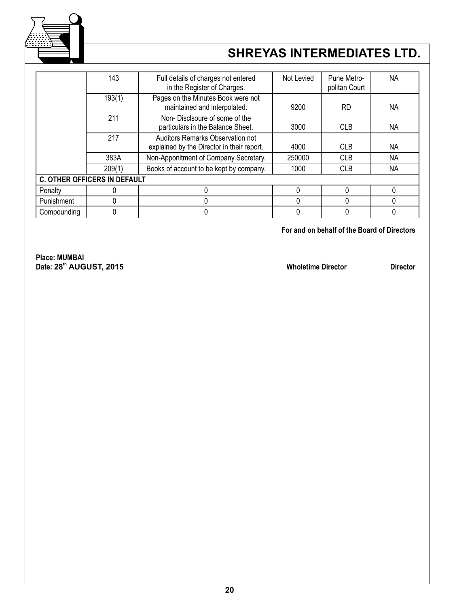

|             | 143                                 | Full details of charges not entered<br>in the Register of Charges.             | Not Levied | Pune Metro-<br>politan Court | <b>NA</b> |
|-------------|-------------------------------------|--------------------------------------------------------------------------------|------------|------------------------------|-----------|
|             | 193(1)                              | Pages on the Minutes Book were not<br>maintained and interpolated.             | 9200       | RD.                          | <b>NA</b> |
|             | 211                                 | Non-Disclsoure of some of the<br>particulars in the Balance Sheet.             | 3000       | <b>CLB</b>                   | <b>NA</b> |
|             | 217                                 | Auditors Remarks Observation not<br>explained by the Director in their report. | 4000       | <b>CLB</b>                   | <b>NA</b> |
|             | 383A                                | Non-Apponitment of Company Secretary.                                          | 250000     | <b>CLB</b>                   | <b>NA</b> |
|             | 209(1)                              | Books of account to be kept by company.                                        | 1000       | <b>CLB</b>                   | NA.       |
|             | <b>C. OTHER OFFICERS IN DEFAULT</b> |                                                                                |            |                              |           |
| Penalty     |                                     |                                                                                | U          | U                            |           |
| Punishment  | 0                                   |                                                                                | N          | O                            |           |
| Compounding | 0                                   |                                                                                |            |                              |           |

**For and on behalf of the Board of Directors**

**Place: MUMBAI th Date: 28 AUGUST, 2015**

 **Wholetime Director Director**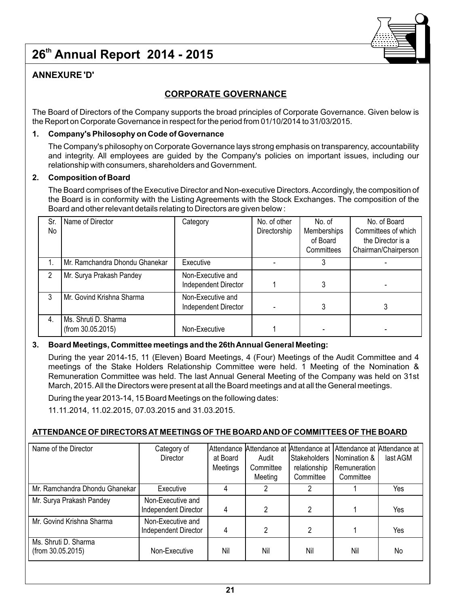### **ANNEXURE 'D'**

#### **CORPORATE GOVERNANCE**

The Board of Directors of the Company supports the broad principles of Corporate Governance. Given below is the Report on Corporate Governance in respect for the period from 01/10/2014 to 31/03/2015.

#### **1. Company's Philosophy on Code of Governance**

The Company's philosophy on Corporate Governance lays strong emphasis on transparency, accountability and integrity. All employees are guided by the Company's policies on important issues, including our relationship with consumers, shareholders and Government.

#### **2. Composition of Board**

The Board comprises of the Executive Director and Non-executive Directors. Accordingly, the composition of the Board is in conformity with the Listing Agreements with the Stock Exchanges. The composition of the Board and other relevant details relating to Directors are given below :

| Sr. | Name of Director                          | Category                                  | No. of other | No. of                  | No. of Board                             |
|-----|-------------------------------------------|-------------------------------------------|--------------|-------------------------|------------------------------------------|
| No  |                                           |                                           | Directorship | Memberships<br>of Board | Committees of which<br>the Director is a |
|     |                                           |                                           |              | Committees              | Chairman/Chairperson                     |
|     | Mr. Ramchandra Dhondu Ghanekar            | Executive                                 |              |                         |                                          |
| 2   | Mr. Surya Prakash Pandey                  | Non-Executive and<br>Independent Director |              |                         |                                          |
| 3   | Mr. Govind Krishna Sharma                 | Non-Executive and<br>Independent Director |              | 3                       | 3                                        |
| 4.  | Ms. Shruti D. Sharma<br>(from 30.05.2015) | Non-Executive                             |              |                         |                                          |

#### **3. Board Meetings, Committee meetings and the 26th Annual General Meeting:**

During the year 2014-15, 11 (Eleven) Board Meetings, 4 (Four) Meetings of the Audit Committee and 4 meetings of the Stake Holders Relationship Committee were held. 1 Meeting of the Nomination & Remuneration Committee was held. The last Annual General Meeting of the Company was held on 31st March, 2015. All the Directors were present at all the Board meetings and at all the General meetings.

During the year 2013-14, 15 Board Meetings on the following dates:

11.11.2014, 11.02.2015, 07.03.2015 and 31.03.2015.

#### **ATTENDANCE OF DIRECTORS AT MEETINGS OF THE BOARD AND OF COMMITTEES OF THE BOARD**

| Name of the Director                      | Category of<br><b>Director</b>            | at Board<br>Meetings | Audit<br>Committee<br>Meeting | <b>Stakeholders</b><br>relationship<br>Committee | Attendance lAttendance at lAttendance at lAttendance at lAttendance at<br>Nomination &<br>IRemuneration<br>Committee | last AGM |
|-------------------------------------------|-------------------------------------------|----------------------|-------------------------------|--------------------------------------------------|----------------------------------------------------------------------------------------------------------------------|----------|
| Mr. Ramchandra Dhondu Ghanekar            | Executive                                 | 4                    | 2                             | 2                                                |                                                                                                                      | Yes      |
| Mr. Surya Prakash Pandey                  | Non-Executive and<br>Independent Director | 4                    | 2                             | 2                                                |                                                                                                                      | Yes      |
| Mr. Govind Krishna Sharma                 | Non-Executive and<br>Independent Director | 4                    | 2                             | 2                                                |                                                                                                                      | Yes      |
| Ms. Shruti D. Sharma<br>(from 30.05.2015) | Non-Executive                             | Nil                  | Nil                           | Nil                                              | Nil                                                                                                                  | No       |

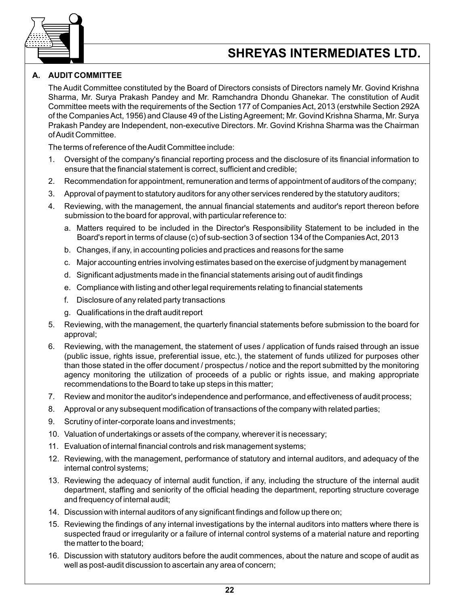

#### **A. AUDIT COMMITTEE**

The Audit Committee constituted by the Board of Directors consists of Directors namely Mr. Govind Krishna Sharma, Mr. Surya Prakash Pandey and Mr. Ramchandra Dhondu Ghanekar. The constitution of Audit Committee meets with the requirements of the Section 177 of Companies Act, 2013 (erstwhile Section 292A of the Companies Act, 1956) and Clause 49 of the Listing Agreement; Mr. Govind Krishna Sharma, Mr. Surya Prakash Pandey are Independent, non-executive Directors. Mr. Govind Krishna Sharma was the Chairman of Audit Committee.

The terms of reference of the Audit Committee include:

- 1. Oversight of the company's financial reporting process and the disclosure of its financial information to ensure that the financial statement is correct, sufficient and credible;
- 2. Recommendation for appointment, remuneration and terms of appointment of auditors of the company;
- 3. Approval of payment to statutory auditors for any other services rendered by the statutory auditors;
- 4. Reviewing, with the management, the annual financial statements and auditor's report thereon before submission to the board for approval, with particular reference to:
	- a. Matters required to be included in the Director's Responsibility Statement to be included in the Board's report in terms of clause (c) of sub-section 3 of section 134 of the Companies Act, 2013
	- b. Changes, if any, in accounting policies and practices and reasons for the same
	- c. Major accounting entries involving estimates based on the exercise of judgment by management
	- d. Significant adjustments made in the financial statements arising out of audit findings
	- e. Compliance with listing and other legal requirements relating to financial statements
	- f. Disclosure of any related party transactions
	- g. Qualifications in the draft audit report
- 5. Reviewing, with the management, the quarterly financial statements before submission to the board for approval;
- 6. Reviewing, with the management, the statement of uses / application of funds raised through an issue (public issue, rights issue, preferential issue, etc.), the statement of funds utilized for purposes other than those stated in the offer document / prospectus / notice and the report submitted by the monitoring agency monitoring the utilization of proceeds of a public or rights issue, and making appropriate recommendations to the Board to take up steps in this matter;
- 7. Review and monitor the auditor's independence and performance, and effectiveness of audit process;
- 8. Approval or any subsequent modification of transactions of the company with related parties;
- 9. Scrutiny of inter-corporate loans and investments;
- 10. Valuation of undertakings or assets of the company, wherever it is necessary;
- 11. Evaluation of internal financial controls and risk management systems;
- 12. Reviewing, with the management, performance of statutory and internal auditors, and adequacy of the internal control systems;
- 13. Reviewing the adequacy of internal audit function, if any, including the structure of the internal audit department, staffing and seniority of the official heading the department, reporting structure coverage and frequency of internal audit;
- 14. Discussion with internal auditors of any significant findings and follow up there on;
- 15. Reviewing the findings of any internal investigations by the internal auditors into matters where there is suspected fraud or irregularity or a failure of internal control systems of a material nature and reporting the matter to the board;
- 16. Discussion with statutory auditors before the audit commences, about the nature and scope of audit as well as post-audit discussion to ascertain any area of concern;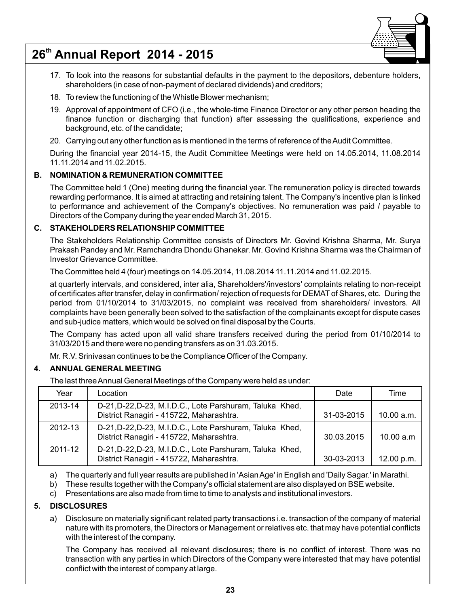

- 17. To look into the reasons for substantial defaults in the payment to the depositors, debenture holders, shareholders (in case of non-payment of declared dividends) and creditors;
- 18. To review the functioning of the Whistle Blower mechanism;
- 19. Approval of appointment of CFO (i.e., the whole-time Finance Director or any other person heading the finance function or discharging that function) after assessing the qualifications, experience and background, etc. of the candidate;
- 20. Carrying out any other function as is mentioned in the terms of reference of the Audit Committee.

During the financial year 2014-15, the Audit Committee Meetings were held on 14.05.2014, 11.08.2014 11.11.2014 and 11.02.2015.

#### **B. NOMINATION & REMUNERATION COMMITTEE**

The Committee held 1 (One) meeting during the financial year. The remuneration policy is directed towards rewarding performance. It is aimed at attracting and retaining talent. The Company's incentive plan is linked to performance and achievement of the Company's objectives. No remuneration was paid / payable to Directors of the Company during the year ended March 31, 2015.

#### **C. STAKEHOLDERS RELATIONSHIP COMMITTEE**

The Stakeholders Relationship Committee consists of Directors Mr. Govind Krishna Sharma, Mr. Surya Prakash Pandey and Mr. Ramchandra Dhondu Ghanekar. Mr. Govind Krishna Sharma was the Chairman of Investor Grievance Committee.

The Committee held 4 (four) meetings on 14.05.2014, 11.08.2014 11.11.2014 and 11.02.2015.

at quarterly intervals, and considered, inter alia, Shareholders'/investors' complaints relating to non-receipt of certificates after transfer, delay in confirmation/ rejection of requests for DEMAT of Shares, etc. During the period from 01/10/2014 to 31/03/2015, no complaint was received from shareholders/ investors. All complaints have been generally been solved to the satisfaction of the complainants except for dispute cases and sub-judice matters, which would be solved on final disposal by the Courts.

The Company has acted upon all valid share transfers received during the period from 01/10/2014 to 31/03/2015 and there were no pending transfers as on 31.03.2015.

Mr. R.V. Srinivasan continues to be the Compliance Officer of the Company.

#### **4. ANNUALGENERAL MEETING**

The last three Annual General Meetings of the Company were held as under:

| Year    | Location                                                                                             | Date       | Time       |
|---------|------------------------------------------------------------------------------------------------------|------------|------------|
| 2013-14 | D-21, D-22, D-23, M.I.D.C., Lote Parshuram, Taluka Khed,<br>District Ranagiri - 415722, Maharashtra. | 31-03-2015 | 10.00 a.m. |
| 2012-13 | D-21, D-22, D-23, M.I.D.C., Lote Parshuram, Taluka Khed,<br>District Ranagiri - 415722, Maharashtra. | 30.03.2015 | 10.00 a.m  |
| 2011-12 | D-21, D-22, D-23, M.I.D.C., Lote Parshuram, Taluka Khed,<br>District Ranagiri - 415722, Maharashtra. | 30-03-2013 | 12.00 p.m. |

a) The quarterly and full year results are published in 'Asian Age' in English and 'Daily Sagar.' in Marathi.

- b) These results together with the Company's official statement are also displayed on BSE website.
- c) Presentations are also made from time to time to analysts and institutional investors.

#### **5. DISCLOSURES**

a) Disclosure on materially significant related party transactions i.e. transaction of the company of material nature with its promoters, the Directors or Management or relatives etc. that may have potential conflicts with the interest of the company.

The Company has received all relevant disclosures; there is no conflict of interest. There was no transaction with any parties in which Directors of the Company were interested that may have potential conflict with the interest of company at large.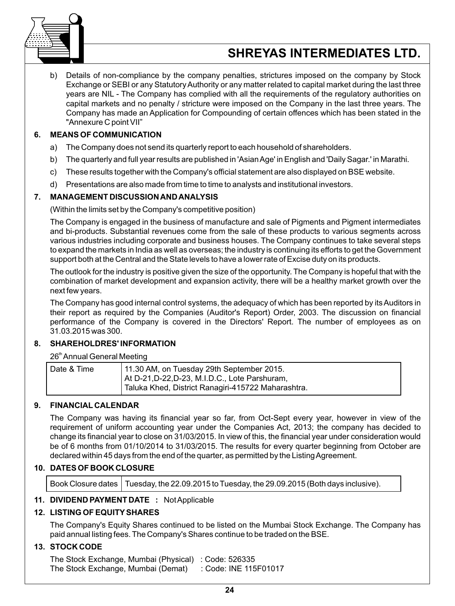

b) Details of non-compliance by the company penalties, strictures imposed on the company by Stock Exchange or SEBI or any Statutory Authority or any matter related to capital market during the last three years are NIL - The Company has complied with all the requirements of the regulatory authorities on capital markets and no penalty / stricture were imposed on the Company in the last three years. The Company has made an Application for Compounding of certain offences which has been stated in the "Annexure C point VII"

#### **6. MEANS OF COMMUNICATION**

- a) The Company does not send its quarterly report to each household of shareholders.
- b) The quarterly and full year results are published in 'Asian Age' in English and 'Daily Sagar.' in Marathi.
- c) These results together with the Company's official statement are also displayed on BSE website.
- d) Presentations are also made from time to time to analysts and institutional investors.

#### **7. MANAGEMENT DISCUSSION AND ANALYSIS**

(Within the limits set by the Company's competitive position)

The Company is engaged in the business of manufacture and sale of Pigments and Pigment intermediates and bi-products. Substantial revenues come from the sale of these products to various segments across various industries including corporate and business houses. The Company continues to take several steps to expand the markets in India as well as overseas; the industry is continuing its efforts to get the Government support both at the Central and the State levels to have a lower rate of Excise duty on its products.

The outlook for the industry is positive given the size of the opportunity. The Company is hopeful that with the combination of market development and expansion activity, there will be a healthy market growth over the next few years.

The Company has good internal control systems, the adequacy of which has been reported by its Auditors in their report as required by the Companies (Auditor's Report) Order, 2003. The discussion on financial performance of the Company is covered in the Directors' Report. The number of employees as on 31.03.2015 was 300.

#### **8. SHAREHOLDRES' INFORMATION**

26<sup>th</sup> Annual General Meeting

| Date & Time | 11.30 AM, on Tuesday 29th September 2015.          |
|-------------|----------------------------------------------------|
|             | At D-21, D-22, D-23, M.I.D.C., Lote Parshuram,     |
|             | Taluka Khed, District Ranagiri-415722 Maharashtra. |

#### **9. FINANCIAL CALENDAR**

The Company was having its financial year so far, from Oct-Sept every year, however in view of the requirement of uniform accounting year under the Companies Act, 2013; the company has decided to change its financial year to close on 31/03/2015. In view of this, the financial year under consideration would be of 6 months from 01/10/2014 to 31/03/2015. The results for every quarter beginning from October are declared within 45 days from the end of the quarter, as permitted by the Listing Agreement.

#### **10. DATES OF BOOK CLOSURE**

Book Closure dates Tuesday, the 22.09.2015 to Tuesday, the  $29.09.2015$  (Both days inclusive).

**11. DIVIDEND PAYMENT DATE :** Not Applicable

#### **12. LISTING OF EQUITYSHARES**

The Company's Equity Shares continued to be listed on the Mumbai Stock Exchange. The Company has paid annual listing fees. The Company's Shares continue to be traded on the BSE.

#### **13. STOCK CODE**

The Stock Exchange, Mumbai (Physical) : Code: 526335 The Stock Exchange, Mumbai (Demat) : Code: INE 115F01017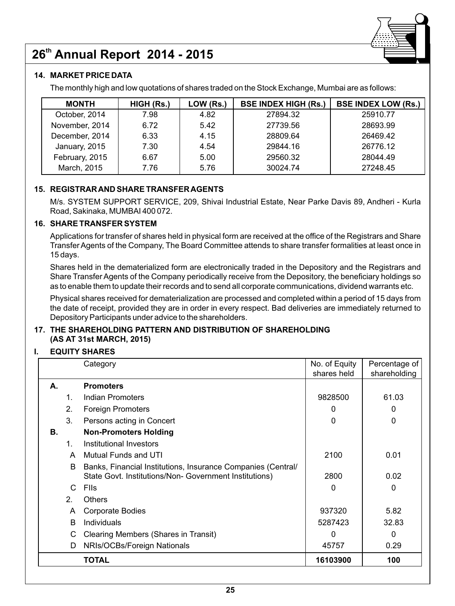

#### **14. MARKET PRICE DATA**

The monthly high and low quotations of shares traded on the Stock Exchange, Mumbai are as follows:

| <b>MONTH</b>   | HIGH (Rs.) | LOW (Rs.) | <b>BSE INDEX HIGH (Rs.)</b> | <b>BSE INDEX LOW (Rs.)</b> |
|----------------|------------|-----------|-----------------------------|----------------------------|
| October, 2014  | 7.98       | 4.82      | 27894.32                    | 25910.77                   |
| November, 2014 | 6.72       | 5.42      | 27739.56                    | 28693.99                   |
| December, 2014 | 6.33       | 4.15      | 28809.64                    | 26469.42                   |
| January, 2015  | 7.30       | 4.54      | 29844.16                    | 26776.12                   |
| February, 2015 | 6.67       | 5.00      | 29560.32                    | 28044.49                   |
| March, 2015    | 7.76       | 5.76      | 30024.74                    | 27248.45                   |

#### **15. REGISTRAR AND SHARE TRANSFER AGENTS**

M/s. SYSTEM SUPPORT SERVICE, 209, Shivai Industrial Estate, Near Parke Davis 89, Andheri - Kurla Road, Sakinaka, MUMBAI 400 072.

#### **16. SHARE TRANSFER SYSTEM**

Applications for transfer of shares held in physical form are received at the office of the Registrars and Share Transfer Agents of the Company, The Board Committee attends to share transfer formalities at least once in 15 days.

Shares held in the dematerialized form are electronically traded in the Depository and the Registrars and Share Transfer Agents of the Company periodically receive from the Depository, the beneficiary holdings so as to enable them to update their records and to send all corporate communications, dividend warrants etc.

Physical shares received for dematerialization are processed and completed within a period of 15 days from the date of receipt, provided they are in order in every respect. Bad deliveries are immediately returned to Depository Participants under advice to the shareholders.

#### **17. THE SHAREHOLDING PATTERN AND DISTRIBUTION OF SHAREHOLDING (AS AT 31st MARCH, 2015)**

#### **I. EQUITY SHARES**

|    |               | Category                                                                                                               | No. of Equity<br>shares held | Percentage of<br>shareholding |
|----|---------------|------------------------------------------------------------------------------------------------------------------------|------------------------------|-------------------------------|
| А. |               | <b>Promoters</b>                                                                                                       |                              |                               |
|    | 1.            | Indian Promoters                                                                                                       | 9828500                      | 61.03                         |
|    | 2.            | <b>Foreign Promoters</b>                                                                                               | <sup>0</sup>                 | 0                             |
|    | 3.            | Persons acting in Concert                                                                                              | $\Omega$                     | $\Omega$                      |
| В. |               | <b>Non-Promoters Holding</b>                                                                                           |                              |                               |
|    | $1_{-}$       | Institutional Investors                                                                                                |                              |                               |
|    | A             | Mutual Funds and UTI                                                                                                   | 2100                         | 0.01                          |
|    | B             | Banks, Financial Institutions, Insurance Companies (Central/<br>State Govt. Institutions/Non- Government Institutions) | 2800                         | 0.02                          |
|    | C.            | Flis                                                                                                                   | <sup>0</sup>                 | 0                             |
|    | $\mathcal{P}$ | Others                                                                                                                 |                              |                               |
|    | A             | Corporate Bodies                                                                                                       | 937320                       | 5.82                          |
|    | B             | Individuals                                                                                                            | 5287423                      | 32.83                         |
|    | C             | Clearing Members (Shares in Transit)                                                                                   | O                            | 0                             |
|    | D             | NRIs/OCBs/Foreign Nationals                                                                                            | 45757                        | 0.29                          |
|    |               | <b>TOTAL</b>                                                                                                           | 16103900                     | 100                           |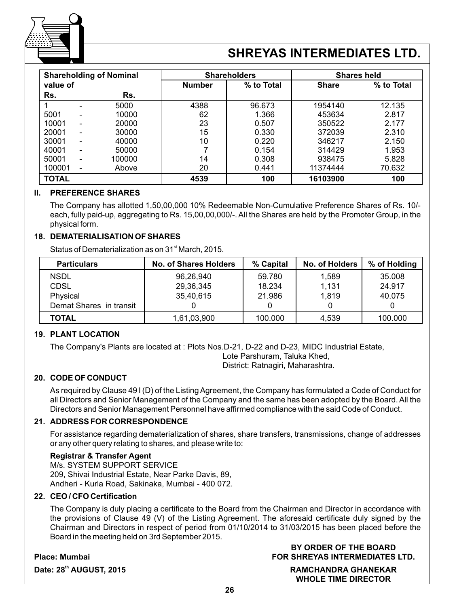

| <b>Shareholding of Nominal</b> |                          |        |                             | <b>Shareholders</b> | <b>Shares held</b> |            |  |  |
|--------------------------------|--------------------------|--------|-----------------------------|---------------------|--------------------|------------|--|--|
| value of                       |                          |        | % to Total<br><b>Number</b> |                     | <b>Share</b>       | % to Total |  |  |
| Rs.                            |                          | Rs.    |                             |                     |                    |            |  |  |
|                                | $\overline{\phantom{a}}$ | 5000   | 4388                        | 96.673              | 1954140            | 12.135     |  |  |
| 5001                           | $\overline{\phantom{0}}$ | 10000  | 62                          | 1.366               | 453634             | 2.817      |  |  |
| 10001                          | $\overline{\phantom{0}}$ | 20000  | 23                          | 0.507               | 350522             | 2.177      |  |  |
| 20001                          | $\blacksquare$           | 30000  | 15                          | 0.330               | 372039             | 2.310      |  |  |
| 30001                          | $\blacksquare$           | 40000  | 10                          | 0.220               | 346217             | 2.150      |  |  |
| 40001                          | $\overline{\phantom{a}}$ | 50000  |                             | 0.154               | 314429             | 1.953      |  |  |
| 50001                          | $\overline{\phantom{0}}$ | 100000 | 14                          | 0.308               | 938475             | 5.828      |  |  |
| 100001                         | $\overline{\phantom{0}}$ | Above  | 20<br>0.441                 |                     | 11374444           | 70.632     |  |  |
| TOTAL                          |                          |        | 4539                        | 100                 | 16103900           | 100        |  |  |

#### **II. PREFERENCE SHARES**

The Company has allotted 1,50,00,000 10% Redeemable Non-Cumulative Preference Shares of Rs. 10/ each, fully paid-up, aggregating to Rs. 15,00,00,000/-. All the Shares are held by the Promoter Group, in the physical form.

#### **18. DEMATERIALISATION OF SHARES**

Status of Dematerialization as on 31<sup>st</sup> March, 2015.

| <b>Particulars</b>      | <b>No. of Shares Holders</b> | % Capital | No. of Holders | % of Holding |
|-------------------------|------------------------------|-----------|----------------|--------------|
| <b>NSDL</b>             | 96.26.940                    | 59.780    | 1.589          | 35,008       |
| <b>CDSL</b>             | 29,36,345                    | 18.234    | 1.131          | 24.917       |
| Physical                | 35,40,615                    | 21.986    | 1.819          | 40.075       |
| Demat Shares in transit |                              |           |                |              |
| TOTAL                   | 1,61,03,900                  | 100.000   | 4.539          | 100.000      |

#### **19. PLANT LOCATION**

The Company's Plants are located at : Plots Nos.D-21, D-22 and D-23, MIDC Industrial Estate,

Lote Parshuram, Taluka Khed,

District: Ratnagiri, Maharashtra.

#### **20. CODE OF CONDUCT**

As required by Clause 49 l (D) of the Listing Agreement, the Company has formulated a Code of Conduct for all Directors and Senior Management of the Company and the same has been adopted by the Board. All the Directors and Senior Management Personnel have affirmed compliance with the said Code of Conduct.

#### **21. ADDRESS FOR CORRESPONDENCE**

For assistance regarding dematerialization of shares, share transfers, transmissions, change of addresses or any other query relating to shares, and please write to:

#### **Registrar & Transfer Agent**

M/s. SYSTEM SUPPORT SERVICE 209, Shivai Industrial Estate, Near Parke Davis, 89, Andheri - Kurla Road, Sakinaka, Mumbai - 400 072.

#### **22. CEO / CFO Certification**

The Company is duly placing a certificate to the Board from the Chairman and Director in accordance with the provisions of Clause 49 (V) of the Listing Agreement. The aforesaid certificate duly signed by the Chairman and Directors in respect of period from 01/10/2014 to 31/03/2015 has been placed before the Board in the meeting held on 3rd September 2015.

**th Date: 28 AUGUST, 2015 RAMCHANDRA GHANEKAR**

#### **BY ORDER OF THE BOARD Place: Mumbai FOR SHREYAS INTERMEDIATES LTD.**

# **WHOLE TIME DIRECTOR**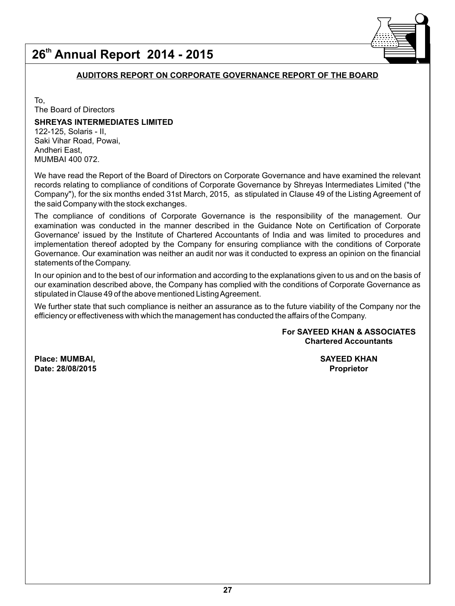

#### **AUDITORS REPORT ON CORPORATE GOVERNANCE REPORT OF THE BOARD**

To,

The Board of Directors

#### **SHREYAS INTERMEDIATES LIMITED**

122-125, Solaris - II, Saki Vihar Road, Powai, Andheri East, MUMBAI 400 072.

We have read the Report of the Board of Directors on Corporate Governance and have examined the relevant records relating to compliance of conditions of Corporate Governance by Shreyas Intermediates Limited ("the Company"), for the six months ended 31st March, 2015, as stipulated in Clause 49 of the Listing Agreement of the said Company with the stock exchanges.

The compliance of conditions of Corporate Governance is the responsibility of the management. Our examination was conducted in the manner described in the Guidance Note on Certification of Corporate Governance' issued by the Institute of Chartered Accountants of India and was limited to procedures and implementation thereof adopted by the Company for ensuring compliance with the conditions of Corporate Governance. Our examination was neither an audit nor was it conducted to express an opinion on the financial statements of the Company.

In our opinion and to the best of our information and according to the explanations given to us and on the basis of our examination described above, the Company has complied with the conditions of Corporate Governance as stipulated in Clause 49 of the above mentioned Listing Agreement.

We further state that such compliance is neither an assurance as to the future viability of the Company nor the efficiency or effectiveness with which the management has conducted the affairs of the Company.

> **For SAYEED KHAN & ASSOCIATES Chartered Accountants**

**Place: MUMBAI, SAYEED KHAN Date: 28/08/2015 Proprietor**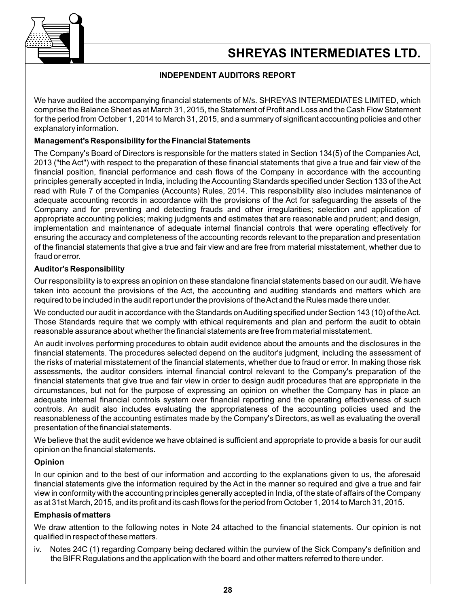

#### **INDEPENDENT AUDITORS REPORT**

We have audited the accompanying financial statements of M/s. SHREYAS INTERMEDIATES LIMITED, which comprise the Balance Sheet as at March 31, 2015, the Statement of Profit and Loss and the Cash Flow Statement for the period from October 1, 2014 to March 31, 2015, and a summary of significant accounting policies and other explanatory information.

#### **Management's Responsibility for the Financial Statements**

The Company's Board of Directors is responsible for the matters stated in Section 134(5) of the Companies Act, 2013 ("the Act") with respect to the preparation of these financial statements that give a true and fair view of the financial position, financial performance and cash flows of the Company in accordance with the accounting principles generally accepted in India, including the Accounting Standards specified under Section 133 of the Act read with Rule 7 of the Companies (Accounts) Rules, 2014. This responsibility also includes maintenance of adequate accounting records in accordance with the provisions of the Act for safeguarding the assets of the Company and for preventing and detecting frauds and other irregularities; selection and application of appropriate accounting policies; making judgments and estimates that are reasonable and prudent; and design, implementation and maintenance of adequate internal financial controls that were operating effectively for ensuring the accuracy and completeness of the accounting records relevant to the preparation and presentation of the financial statements that give a true and fair view and are free from material misstatement, whether due to fraud or error.

#### **Auditor's Responsibility**

Our responsibility is to express an opinion on these standalone financial statements based on our audit. We have taken into account the provisions of the Act, the accounting and auditing standards and matters which are required to be included in the audit report under the provisions of the Act and the Rules made there under.

We conducted our audit in accordance with the Standards on Auditing specified under Section 143 (10) of the Act. Those Standards require that we comply with ethical requirements and plan and perform the audit to obtain reasonable assurance about whether the financial statements are free from material misstatement.

An audit involves performing procedures to obtain audit evidence about the amounts and the disclosures in the financial statements. The procedures selected depend on the auditor's judgment, including the assessment of the risks of material misstatement of the financial statements, whether due to fraud or error. In making those risk assessments, the auditor considers internal financial control relevant to the Company's preparation of the financial statements that give true and fair view in order to design audit procedures that are appropriate in the circumstances, but not for the purpose of expressing an opinion on whether the Company has in place an adequate internal financial controls system over financial reporting and the operating effectiveness of such controls. An audit also includes evaluating the appropriateness of the accounting policies used and the reasonableness of the accounting estimates made by the Company's Directors, as well as evaluating the overall presentation of the financial statements.

We believe that the audit evidence we have obtained is sufficient and appropriate to provide a basis for our audit opinion on the financial statements.

#### **Opinion**

In our opinion and to the best of our information and according to the explanations given to us, the aforesaid financial statements give the information required by the Act in the manner so required and give a true and fair view in conformity with the accounting principles generally accepted in India, of the state of affairs of the Company as at 31st March, 2015, and its profit and its cash flows for the period from October 1, 2014 to March 31, 2015.

#### **Emphasis of matters**

We draw attention to the following notes in Note 24 attached to the financial statements. Our opinion is not qualified in respect of these matters.

iv. Notes 24C (1) regarding Company being declared within the purview of the Sick Company's definition and the BIFR Regulations and the application with the board and other matters referred to there under.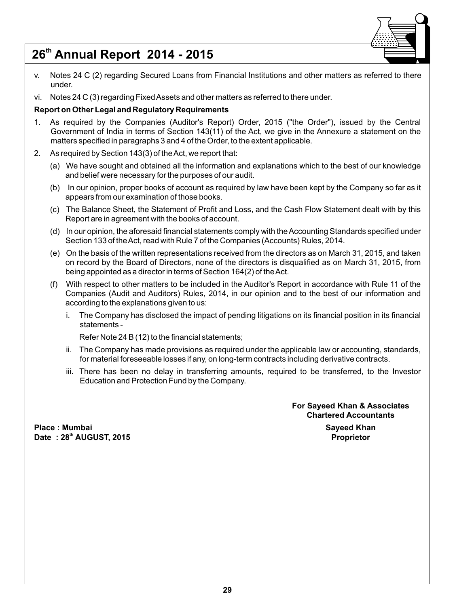- v. Notes 24 C (2) regarding Secured Loans from Financial Institutions and other matters as referred to there under.
- vi. Notes 24 C (3) regarding Fixed Assets and other matters as referred to there under.

#### **Report on Other Legal and Regulatory Requirements**

- 1. As required by the Companies (Auditor's Report) Order, 2015 ("the Order"), issued by the Central Government of India in terms of Section 143(11) of the Act, we give in the Annexure a statement on the matters specified in paragraphs 3 and 4 of the Order, to the extent applicable.
- 2. As required by Section 143(3) of the Act, we report that:
	- (a) We have sought and obtained all the information and explanations which to the best of our knowledge and belief were necessary for the purposes of our audit.
	- (b) In our opinion, proper books of account as required by law have been kept by the Company so far as it appears from our examination of those books.
	- (c) The Balance Sheet, the Statement of Profit and Loss, and the Cash Flow Statement dealt with by this Report are in agreement with the books of account.
	- (d) In our opinion, the aforesaid financial statements comply with the Accounting Standards specified under Section 133 of the Act, read with Rule 7 of the Companies (Accounts) Rules, 2014.
	- (e) On the basis of the written representations received from the directors as on March 31, 2015, and taken on record by the Board of Directors, none of the directors is disqualified as on March 31, 2015, from being appointed as a director in terms of Section 164(2) of the Act.
	- (f) With respect to other matters to be included in the Auditor's Report in accordance with Rule 11 of the Companies (Audit and Auditors) Rules, 2014, in our opinion and to the best of our information and according to the explanations given to us:
		- i. The Company has disclosed the impact of pending litigations on its financial position in its financial statements -

Refer Note 24 B (12) to the financial statements;

- ii. The Company has made provisions as required under the applicable law or accounting, standards, for material foreseeable losses if any, on long-term contracts including derivative contracts.
- iii. There has been no delay in transferring amounts, required to be transferred, to the Investor Education and Protection Fund by the Company.

**For Sayeed Khan & Associates Chartered Accountants**

**Place : Mumbai Sayeed Khan th Date : 28 AUGUST, 2015 Proprietor**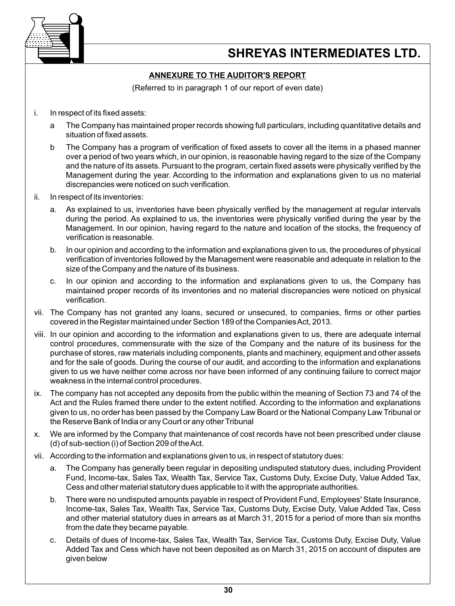

#### **ANNEXURE TO THE AUDITOR'S REPORT**

(Referred to in paragraph 1 of our report of even date)

- i. In respect of its fixed assets:
	- a The Company has maintained proper records showing full particulars, including quantitative details and situation of fixed assets.
	- b The Company has a program of verification of fixed assets to cover all the items in a phased manner over a period of two years which, in our opinion, is reasonable having regard to the size of the Company and the nature of its assets. Pursuant to the program, certain fixed assets were physically verified by the Management during the year. According to the information and explanations given to us no material discrepancies were noticed on such verification.
- ii. In respect of its inventories:
	- a. As explained to us, inventories have been physically verified by the management at regular intervals during the period. As explained to us, the inventories were physically verified during the year by the Management. In our opinion, having regard to the nature and location of the stocks, the frequency of verification is reasonable.
	- b. In our opinion and according to the information and explanations given to us, the procedures of physical verification of inventories followed by the Management were reasonable and adequate in relation to the size of the Company and the nature of its business.
	- c. In our opinion and according to the information and explanations given to us, the Company has maintained proper records of its inventories and no material discrepancies were noticed on physical verification.
- vii. The Company has not granted any loans, secured or unsecured, to companies, firms or other parties covered in the Register maintained under Section 189 of the Companies Act, 2013.
- viii. In our opinion and according to the information and explanations given to us, there are adequate internal control procedures, commensurate with the size of the Company and the nature of its business for the purchase of stores, raw materials including components, plants and machinery, equipment and other assets and for the sale of goods. During the course of our audit, and according to the information and explanations given to us we have neither come across nor have been informed of any continuing failure to correct major weakness in the internal control procedures.
- ix. The company has not accepted any deposits from the public within the meaning of Section 73 and 74 of the Act and the Rules framed there under to the extent notified. According to the information and explanations given to us, no order has been passed by the Company Law Board or the National Company Law Tribunal or the Reserve Bank of India or any Court or any other Tribunal
- x. We are informed by the Company that maintenance of cost records have not been prescribed under clause (d) of sub-section (i) of Section 209 of the Act.
- vii. According to the information and explanations given to us, in respect of statutory dues:
	- a. The Company has generally been regular in depositing undisputed statutory dues, including Provident Fund, Income-tax, Sales Tax, Wealth Tax, Service Tax, Customs Duty, Excise Duty, Value Added Tax, Cess and other material statutory dues applicable to it with the appropriate authorities.
	- b. There were no undisputed amounts payable in respect of Provident Fund, Employees' State Insurance, Income-tax, Sales Tax, Wealth Tax, Service Tax, Customs Duty, Excise Duty, Value Added Tax, Cess and other material statutory dues in arrears as at March 31, 2015 for a period of more than six months from the date they became payable.
	- c. Details of dues of Income-tax, Sales Tax, Wealth Tax, Service Tax, Customs Duty, Excise Duty, Value Added Tax and Cess which have not been deposited as on March 31, 2015 on account of disputes are given below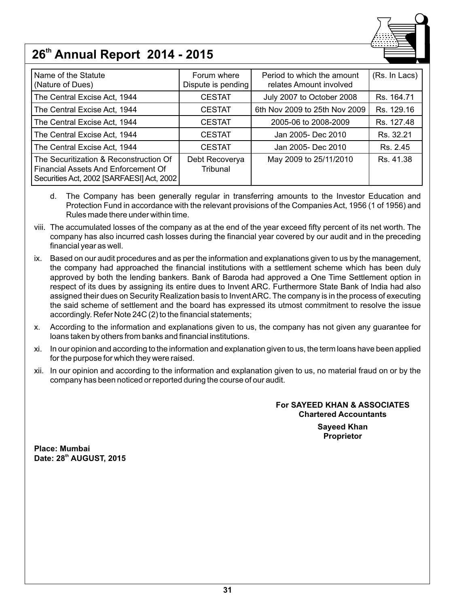

| Name of the Statute<br>(Nature of Dues)                                                                                    | Forum where<br>Dispute is pending | Period to which the amount<br>relates Amount involved | (Rs. In Lacs) |
|----------------------------------------------------------------------------------------------------------------------------|-----------------------------------|-------------------------------------------------------|---------------|
| The Central Excise Act, 1944                                                                                               | <b>CESTAT</b>                     | July 2007 to October 2008                             | Rs. 164.71    |
| The Central Excise Act, 1944                                                                                               | <b>CESTAT</b>                     | 6th Nov 2009 to 25th Nov 2009                         | Rs. 129.16    |
| The Central Excise Act, 1944                                                                                               | <b>CESTAT</b>                     | 2005-06 to 2008-2009                                  | Rs. 127.48    |
| The Central Excise Act, 1944                                                                                               | <b>CESTAT</b>                     | Jan 2005- Dec 2010                                    | Rs. 32.21     |
| The Central Excise Act, 1944                                                                                               | <b>CESTAT</b>                     | Jan 2005- Dec 2010                                    | Rs. 2.45      |
| The Securitization & Reconstruction Of<br>Financial Assets And Enforcement Of<br>Securities Act, 2002 [SARFAESI] Act, 2002 | Debt Recoverya<br>Tribunal        | May 2009 to 25/11/2010                                | Rs. 41.38     |

- d. The Company has been generally regular in transferring amounts to the Investor Education and Protection Fund in accordance with the relevant provisions of the Companies Act, 1956 (1 of 1956) and Rules made there under within time.
- viii. The accumulated losses of the company as at the end of the year exceed fifty percent of its net worth. The company has also incurred cash losses during the financial year covered by our audit and in the preceding financial year as well.
- ix. Based on our audit procedures and as per the information and explanations given to us by the management, the company had approached the financial institutions with a settlement scheme which has been duly approved by both the lending bankers. Bank of Baroda had approved a One Time Settlement option in respect of its dues by assigning its entire dues to Invent ARC. Furthermore State Bank of India had also assigned their dues on Security Realization basis to Invent ARC. The company is in the process of executing the said scheme of settlement and the board has expressed its utmost commitment to resolve the issue accordingly. Refer Note 24C (2) to the financial statements;
- x. According to the information and explanations given to us, the company has not given any guarantee for loans taken by others from banks and financial institutions.
- xi. In our opinion and according to the information and explanation given to us, the term loans have been applied for the purpose for which they were raised.
- xii. In our opinion and according to the information and explanation given to us, no material fraud on or by the company has been noticed or reported during the course of our audit.

**For SAYEED KHAN & ASSOCIATES Chartered Accountants**

> **Sayeed Khan Proprietor**

**Place: Mumbai th Date: 28 AUGUST, 2015**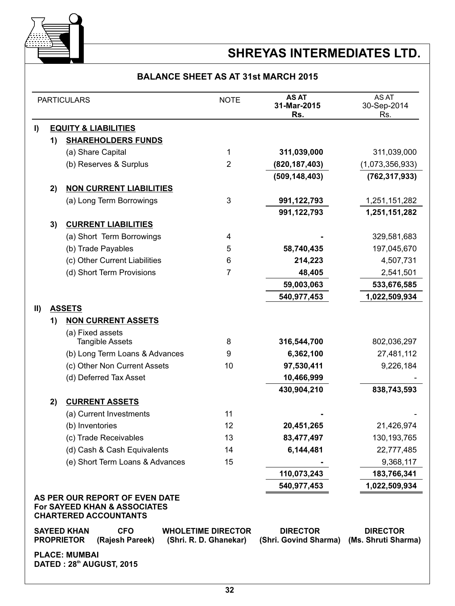

### **BALANCE SHEET AS AT 31st MARCH 2015**

| <b>PARTICULARS</b> |    |                                                                                                | <b>NOTE</b>                                         | AS AT<br>31-Mar-2015<br>Rs.                                  | AS AT<br>30-Sep-2014<br>Rs. |
|--------------------|----|------------------------------------------------------------------------------------------------|-----------------------------------------------------|--------------------------------------------------------------|-----------------------------|
| I)                 |    | <b>EQUITY &amp; LIABILITIES</b>                                                                |                                                     |                                                              |                             |
|                    | 1) | <b>SHAREHOLDERS FUNDS</b>                                                                      |                                                     |                                                              |                             |
|                    |    | (a) Share Capital                                                                              | 1                                                   | 311,039,000                                                  | 311,039,000                 |
|                    |    | (b) Reserves & Surplus                                                                         | $\overline{2}$                                      | (820, 187, 403)                                              | (1,073,356,933)             |
|                    |    |                                                                                                |                                                     | (509, 148, 403)                                              | (762, 317, 933)             |
|                    | 2) | <b>NON CURRENT LIABILITIES</b>                                                                 |                                                     |                                                              |                             |
|                    |    | (a) Long Term Borrowings                                                                       | 3                                                   | 991,122,793                                                  | 1,251,151,282               |
|                    |    |                                                                                                |                                                     | 991,122,793                                                  | 1,251,151,282               |
|                    | 3) | <b>CURRENT LIABILITIES</b>                                                                     |                                                     |                                                              |                             |
|                    |    | (a) Short Term Borrowings                                                                      | 4                                                   |                                                              | 329,581,683                 |
|                    |    | (b) Trade Payables                                                                             | 5                                                   | 58,740,435                                                   | 197,045,670                 |
|                    |    | (c) Other Current Liabilities                                                                  | 6                                                   | 214,223                                                      | 4,507,731                   |
|                    |    | (d) Short Term Provisions                                                                      | 7                                                   | 48,405                                                       | 2,541,501                   |
|                    |    |                                                                                                |                                                     | 59,003,063                                                   | 533,676,585                 |
|                    |    |                                                                                                |                                                     | 540,977,453                                                  | 1,022,509,934               |
| $\mathbf{II}$      |    | <b>ASSETS</b>                                                                                  |                                                     |                                                              |                             |
|                    | 1) | <b>NON CURRENT ASSETS</b>                                                                      |                                                     |                                                              |                             |
|                    |    | (a) Fixed assets                                                                               |                                                     |                                                              |                             |
|                    |    | <b>Tangible Assets</b>                                                                         | 8                                                   | 316,544,700                                                  | 802,036,297                 |
|                    |    | (b) Long Term Loans & Advances                                                                 | 9                                                   | 6,362,100                                                    | 27,481,112                  |
|                    |    | (c) Other Non Current Assets                                                                   | 10                                                  | 97,530,411                                                   | 9,226,184                   |
|                    |    | (d) Deferred Tax Asset                                                                         |                                                     | 10,466,999                                                   |                             |
|                    |    |                                                                                                |                                                     | 430,904,210                                                  | 838,743,593                 |
|                    | 2) | <b>CURRENT ASSETS</b>                                                                          | 11                                                  |                                                              |                             |
|                    |    | (a) Current Investments                                                                        |                                                     |                                                              |                             |
|                    |    | (b) Inventories                                                                                | 12                                                  | 20,451,265                                                   | 21,426,974<br>130, 193, 765 |
|                    |    | (c) Trade Receivables<br>(d) Cash & Cash Equivalents                                           | 13<br>14                                            | 83,477,497<br>6,144,481                                      | 22,777,485                  |
|                    |    | (e) Short Term Loans & Advances                                                                | 15                                                  |                                                              | 9,368,117                   |
|                    |    |                                                                                                |                                                     | 110,073,243                                                  | 183,766,341                 |
|                    |    |                                                                                                |                                                     | 540,977,453                                                  | 1,022,509,934               |
|                    |    | AS PER OUR REPORT OF EVEN DATE<br>For SAYEED KHAN & ASSOCIATES<br><b>CHARTERED ACCOUNTANTS</b> |                                                     |                                                              |                             |
|                    |    | <b>SAYEED KHAN</b><br><b>CFO</b><br><b>PROPRIETOR</b><br>(Rajesh Pareek)                       | <b>WHOLETIME DIRECTOR</b><br>(Shri. R. D. Ghanekar) | <b>DIRECTOR</b><br>(Shri. Govind Sharma) (Ms. Shruti Sharma) | <b>DIRECTOR</b>             |
|                    |    | <b>PLACE: MUMBAI</b><br>DATED: 28th AUGUST, 2015                                               |                                                     |                                                              |                             |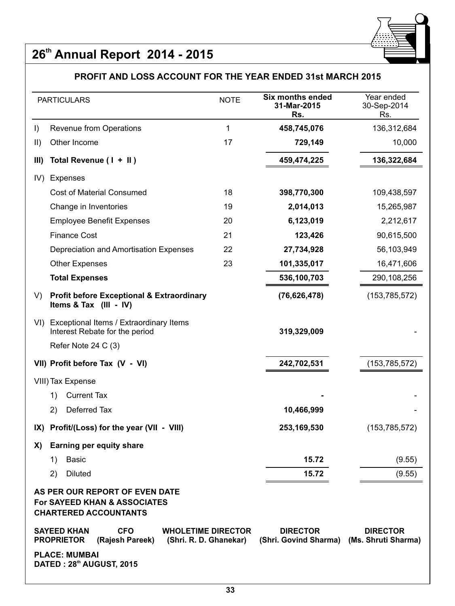### **PROFIT AND LOSS ACCOUNT FOR THE YEAR ENDED 31st MARCH 2015**

|             | <b>PARTICULARS</b>                                                                                        | <b>NOTE</b>                                         | Six months ended<br>31-Mar-2015<br>Rs.                       | Year ended<br>30-Sep-2014<br>Rs. |
|-------------|-----------------------------------------------------------------------------------------------------------|-----------------------------------------------------|--------------------------------------------------------------|----------------------------------|
| I)          | Revenue from Operations                                                                                   | 1                                                   | 458,745,076                                                  | 136,312,684                      |
| $\parallel$ | Other Income                                                                                              | 17                                                  | 729,149                                                      | 10,000                           |
| III)        | Total Revenue (1 + II)                                                                                    |                                                     | 459,474,225                                                  | 136,322,684                      |
| IV)         | Expenses                                                                                                  |                                                     |                                                              |                                  |
|             | <b>Cost of Material Consumed</b>                                                                          | 18                                                  | 398,770,300                                                  | 109,438,597                      |
|             | Change in Inventories                                                                                     | 19                                                  | 2,014,013                                                    | 15,265,987                       |
|             | <b>Employee Benefit Expenses</b>                                                                          | 20                                                  | 6,123,019                                                    | 2,212,617                        |
|             | <b>Finance Cost</b>                                                                                       | 21                                                  | 123,426                                                      | 90,615,500                       |
|             | Depreciation and Amortisation Expenses                                                                    | 22                                                  | 27,734,928                                                   | 56,103,949                       |
|             | <b>Other Expenses</b>                                                                                     | 23                                                  | 101,335,017                                                  | 16,471,606                       |
|             | <b>Total Expenses</b>                                                                                     |                                                     | 536,100,703                                                  | 290,108,256                      |
| V)          | <b>Profit before Exceptional &amp; Extraordinary</b><br>Items & Tax (III - IV)                            |                                                     | (76, 626, 478)                                               | (153, 785, 572)                  |
|             | VI) Exceptional Items / Extraordinary Items<br>Interest Rebate for the period<br>Refer Note 24 C (3)      |                                                     | 319,329,009                                                  |                                  |
|             | VII) Profit before Tax (V - VI)                                                                           |                                                     | 242,702,531                                                  | (153, 785, 572)                  |
|             | VIII) Tax Expense                                                                                         |                                                     |                                                              |                                  |
|             | 1)<br><b>Current Tax</b>                                                                                  |                                                     |                                                              |                                  |
|             | Deferred Tax<br>2)                                                                                        |                                                     | 10,466,999                                                   |                                  |
| IX)         | Profit/(Loss) for the year (VII - VIII)                                                                   |                                                     | 253,169,530                                                  | (153, 785, 572)                  |
| X)          | <b>Earning per equity share</b>                                                                           |                                                     |                                                              |                                  |
|             | 1)<br>Basic                                                                                               |                                                     | 15.72                                                        | (9.55)                           |
|             | 2)<br>Diluted                                                                                             |                                                     | 15.72                                                        | (9.55)                           |
|             | AS PER OUR REPORT OF EVEN DATE<br><b>For SAYEED KHAN &amp; ASSOCIATES</b><br><b>CHARTERED ACCOUNTANTS</b> |                                                     |                                                              |                                  |
|             | <b>CFO</b><br><b>SAYEED KHAN</b><br>(Rajesh Pareek)<br><b>PROPRIETOR</b>                                  | <b>WHOLETIME DIRECTOR</b><br>(Shri. R. D. Ghanekar) | <b>DIRECTOR</b><br>(Shri. Govind Sharma) (Ms. Shruti Sharma) | <b>DIRECTOR</b>                  |
|             | <b>PLACE: MUMBAI</b><br>DATED: 28th AUGUST, 2015                                                          |                                                     |                                                              |                                  |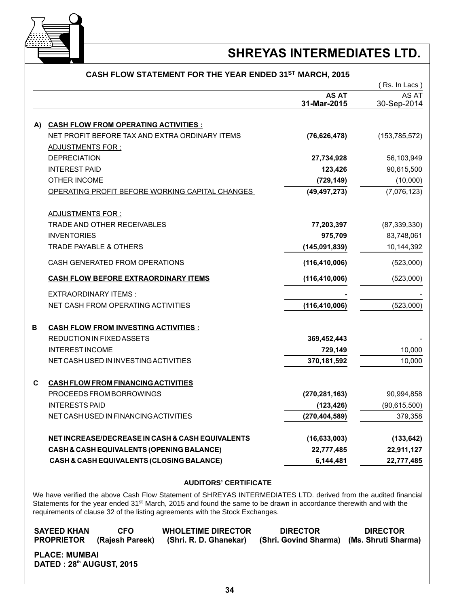

|   | CASH FLOW STATEMENT FOR THE YEAR ENDED 31ST MARCH, 2015                                                                        |                             | (Rs. In Lacs)        |
|---|--------------------------------------------------------------------------------------------------------------------------------|-----------------------------|----------------------|
|   |                                                                                                                                | <b>AS AT</b><br>31-Mar-2015 | AS AT<br>30-Sep-2014 |
|   |                                                                                                                                |                             |                      |
|   | A) CASH FLOW FROM OPERATING ACTIVITIES :<br>NET PROFIT BEFORE TAX AND EXTRA ORDINARY ITEMS                                     |                             |                      |
|   | <b>ADJUSTMENTS FOR:</b>                                                                                                        | (76, 626, 478)              | (153, 785, 572)      |
|   | <b>DEPRECIATION</b>                                                                                                            | 27,734,928                  | 56,103,949           |
|   | <b>INTEREST PAID</b>                                                                                                           | 123,426                     | 90,615,500           |
|   | OTHER INCOME                                                                                                                   | (729, 149)                  | (10,000)             |
|   | OPERATING PROFIT BEFORE WORKING CAPITAL CHANGES                                                                                | (49, 497, 273)              | (7,076,123)          |
|   | <b>ADJUSTMENTS FOR:</b>                                                                                                        |                             |                      |
|   | TRADE AND OTHER RECEIVABLES                                                                                                    | 77,203,397                  | (87, 339, 330)       |
|   | <b>INVENTORIES</b>                                                                                                             | 975,709                     | 83,748,061           |
|   | <b>TRADE PAYABLE &amp; OTHERS</b>                                                                                              | (145,091,839)               | 10,144,392           |
|   | CASH GENERATED FROM OPERATIONS                                                                                                 | (116, 410, 006)             | (523,000)            |
|   | <b>CASH FLOW BEFORE EXTRAORDINARY ITEMS</b>                                                                                    | (116, 410, 006)             | (523,000)            |
|   | <b>EXTRAORDINARY ITEMS:</b>                                                                                                    |                             |                      |
|   | NET CASH FROM OPERATING ACTIVITIES                                                                                             | (116, 410, 006)             | (523,000)            |
| в | <b>CASH FLOW FROM INVESTING ACTIVITIES:</b>                                                                                    |                             |                      |
|   | REDUCTION IN FIXED ASSETS                                                                                                      | 369,452,443                 |                      |
|   | <b>INTEREST INCOME</b>                                                                                                         | 729,149                     | 10,000               |
|   | NET CASH USED IN INVESTING ACTIVITIES                                                                                          | 370,181,592                 | 10,000               |
| C | <b>CASH FLOW FROM FINANCING ACTIVITIES</b>                                                                                     |                             |                      |
|   | PROCEEDS FROM BORROWINGS                                                                                                       | (270, 281, 163)             | 90,994,858           |
|   | <b>INTERESTS PAID</b>                                                                                                          | (123, 426)                  | (90, 615, 500)       |
|   | NET CASH USED IN FINANCING ACTIVITIES                                                                                          | (270, 404, 589)             | 379,358              |
|   | NET INCREASE/DECREASE IN CASH & CASH EQUIVALENTS                                                                               | (16, 633, 003)              | (133, 642)           |
|   | CASH & CASH EQUIVALENTS (OPENING BALANCE)                                                                                      | 22,777,485                  | 22,911,127           |
|   | CASH & CASH EQUIVALENTS (CLOSING BALANCE)                                                                                      | 6,144,481                   | 22,777,485           |
|   | <b>AUDITORS' CERTIFICATE</b>                                                                                                   |                             |                      |
|   | We have verified the above Cash Flow Statement of SHREYAS INTERMEDIATES LTD. derived from the audited financial                |                             |                      |
|   | Statements for the year ended 31 <sup>st</sup> March, 2015 and found the same to be drawn in accordance therewith and with the |                             |                      |
|   | requirements of clause 32 of the listing agreements with the Stock Exchanges.                                                  |                             |                      |

**SAYEED KHAN PROPRIETOR (Shri. R. D. Ghanekar) (Shri. Govind Sharma) (Ms. Shruti Sharma) (Rajesh Pareek) PLACE: MUMBAI th DATED : 28 AUGUST, 2015 WHOLETIME DIRECTOR DIRECTOR DIRECTOR CFO**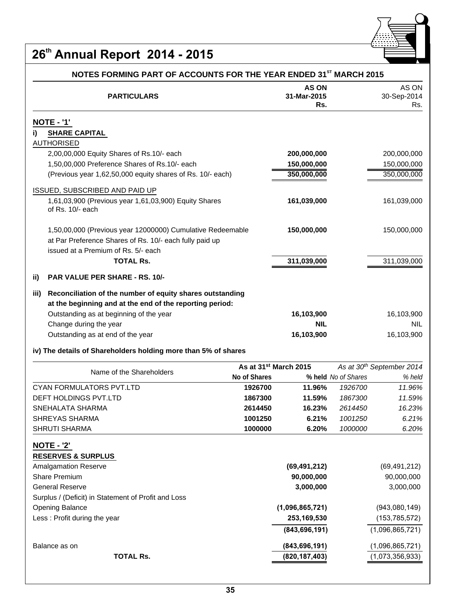

| NOTES FORMING PART OF ACCOUNTS FOR THE YEAR ENDED 31ST MARCH 2015                                                                                            |                     |                                    |                     |                             |
|--------------------------------------------------------------------------------------------------------------------------------------------------------------|---------------------|------------------------------------|---------------------|-----------------------------|
| <b>PARTICULARS</b>                                                                                                                                           |                     | <b>AS ON</b><br>31-Mar-2015<br>Rs. |                     | AS ON<br>30-Sep-2014<br>Rs. |
| <b>NOTE - '1'</b>                                                                                                                                            |                     |                                    |                     |                             |
| <b>SHARE CAPITAL</b><br>i)                                                                                                                                   |                     |                                    |                     |                             |
| <b>AUTHORISED</b>                                                                                                                                            |                     |                                    |                     |                             |
| 2,00,00,000 Equity Shares of Rs.10/- each                                                                                                                    |                     | 200,000,000                        |                     | 200,000,000                 |
| 1,50,00,000 Preference Shares of Rs.10/- each                                                                                                                |                     | 150,000,000                        |                     | 150,000,000                 |
| (Previous year 1,62,50,000 equity shares of Rs. 10/- each)                                                                                                   |                     | 350,000,000                        |                     | 350,000,000                 |
| ISSUED, SUBSCRIBED AND PAID UP                                                                                                                               |                     |                                    |                     |                             |
| 1,61,03,900 (Previous year 1,61,03,900) Equity Shares<br>of Rs. 10/- each                                                                                    |                     | 161,039,000                        |                     | 161,039,000                 |
| 1,50,00,000 (Previous year 12000000) Cumulative Redeemable<br>at Par Preference Shares of Rs. 10/- each fully paid up<br>issued at a Premium of Rs. 5/- each |                     | 150,000,000                        |                     | 150,000,000                 |
| <b>TOTAL Rs.</b>                                                                                                                                             |                     | 311,039,000                        |                     | 311,039,000                 |
| <b>PAR VALUE PER SHARE - RS. 10/-</b><br>ii)                                                                                                                 |                     |                                    |                     |                             |
| Reconciliation of the number of equity shares outstanding<br>iii)<br>at the beginning and at the end of the reporting period:                                |                     |                                    |                     |                             |
| Outstanding as at beginning of the year                                                                                                                      |                     | 16,103,900                         |                     | 16,103,900                  |
| Change during the year                                                                                                                                       |                     | <b>NIL</b>                         |                     | NIL.                        |
| Outstanding as at end of the year                                                                                                                            |                     | 16,103,900                         |                     | 16,103,900                  |
| iv) The details of Shareholders holding more than 5% of shares                                                                                               |                     |                                    |                     |                             |
|                                                                                                                                                              |                     | As at 31 <sup>st</sup> March 2015  |                     | As at 30th September 2014   |
| Name of the Shareholders                                                                                                                                     | <b>No of Shares</b> |                                    | % held No of Shares | % held                      |
| CYAN FORMULATORS PVT.LTD                                                                                                                                     | 1926700             | 11.96%                             | 1926700             | 11.96%                      |
| DEFT HOLDINGS PVT.LTD                                                                                                                                        | 1867300             | 11.59%                             | 1867300             | 11.59%                      |
| SNEHALATA SHARMA                                                                                                                                             | 2614450             | 16.23%                             | 2614450             | 16.23%                      |
| SHREYAS SHARMA                                                                                                                                               | 1001250             | 6.21%                              | 1001250             | 6.21%                       |
| <b>SHRUTI SHARMA</b>                                                                                                                                         | 1000000             | 6.20%                              | 1000000             | 6.20%                       |
| <b>NOTE - '2'</b>                                                                                                                                            |                     |                                    |                     |                             |
| <b>RESERVES &amp; SURPLUS</b>                                                                                                                                |                     |                                    |                     |                             |
| <b>Amalgamation Reserve</b>                                                                                                                                  |                     | (69, 491, 212)                     |                     | (69, 491, 212)              |
| Share Premium                                                                                                                                                |                     | 90,000,000                         |                     | 90,000,000                  |
| <b>General Reserve</b>                                                                                                                                       |                     | 3,000,000                          |                     | 3,000,000                   |
| Surplus / (Deficit) in Statement of Profit and Loss                                                                                                          |                     |                                    |                     |                             |
| Opening Balance                                                                                                                                              |                     | (1,096,865,721)                    |                     | (943,080,149)               |
| Less: Profit during the year                                                                                                                                 |                     | 253,169,530                        |                     | (153, 785, 572)             |
|                                                                                                                                                              |                     | (843, 696, 191)                    |                     | (1,096,865,721)             |
| Balance as on                                                                                                                                                |                     | (843, 696, 191)                    |                     | (1,096,865,721)             |
| <b>TOTAL Rs.</b>                                                                                                                                             |                     | (820, 187, 403)                    |                     | (1,073,356,933)             |
|                                                                                                                                                              |                     |                                    |                     |                             |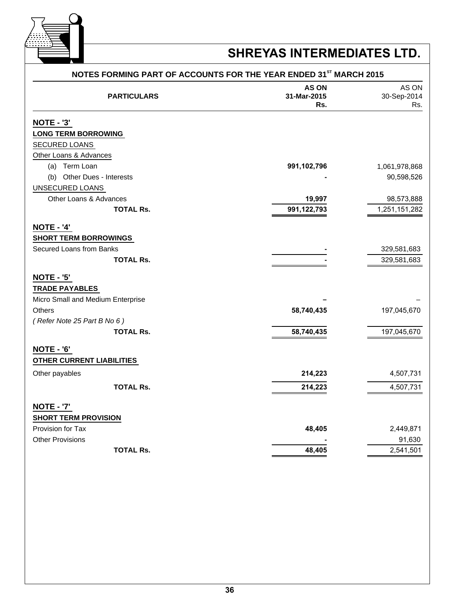

|                                   | AS ON       | AS ON         |
|-----------------------------------|-------------|---------------|
| <b>PARTICULARS</b>                | 31-Mar-2015 | 30-Sep-2014   |
|                                   | Rs.         | Rs.           |
| <b>NOTE - '3'</b>                 |             |               |
| <b>LONG TERM BORROWING</b>        |             |               |
| SECURED LOANS                     |             |               |
| Other Loans & Advances            |             |               |
| (a) Term Loan                     | 991,102,796 | 1,061,978,868 |
| (b) Other Dues - Interests        |             | 90,598,526    |
| UNSECURED LOANS                   |             |               |
| Other Loans & Advances            | 19,997      | 98,573,888    |
| <b>TOTAL Rs.</b>                  | 991,122,793 | 1,251,151,282 |
| <b>NOTE - '4'</b>                 |             |               |
| <b>SHORT TERM BORROWINGS</b>      |             |               |
| Secured Loans from Banks          |             | 329,581,683   |
| <b>TOTAL Rs.</b>                  |             | 329,581,683   |
| <b>NOTE - '5'</b>                 |             |               |
| <b>TRADE PAYABLES</b>             |             |               |
| Micro Small and Medium Enterprise |             |               |
| Others                            | 58,740,435  | 197,045,670   |
| (Refer Note 25 Part B No 6)       |             |               |
| <b>TOTAL Rs.</b>                  | 58,740,435  | 197,045,670   |
| NOTE - '6'                        |             |               |
| OTHER CURRENT LIABILITIES         |             |               |
| Other payables                    | 214,223     | 4,507,731     |
| <b>TOTAL Rs.</b>                  | 214,223     | 4,507,731     |
|                                   |             |               |
| <b>NOTE - '7'</b>                 |             |               |
| <b>SHORT TERM PROVISION</b>       |             |               |
| Provision for Tax                 | 48,405      | 2,449,871     |
| <b>Other Provisions</b>           |             | 91,630        |
| <b>TOTAL Rs.</b>                  | 48,405      | 2,541,501     |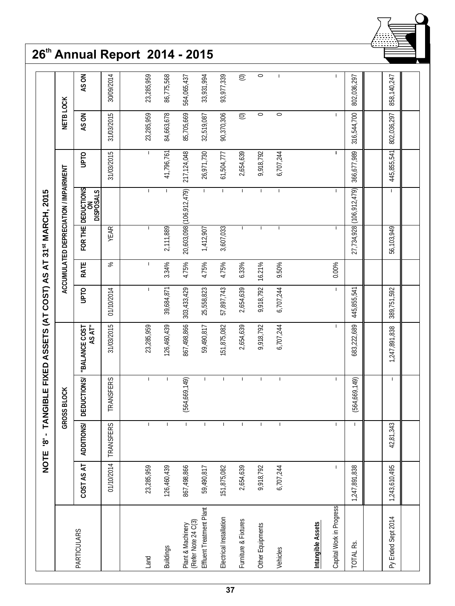| $26^{\circ\circ}$                                      |                                              |                                       |                  | <b>Annual Report 2014 - 2015</b> |                  |                                          |                          |                         |                        |                  |              |                   |                          |                          |                    |  |
|--------------------------------------------------------|----------------------------------------------|---------------------------------------|------------------|----------------------------------|------------------|------------------------------------------|--------------------------|-------------------------|------------------------|------------------|--------------|-------------------|--------------------------|--------------------------|--------------------|--|
|                                                        |                                              | AS ON                                 | 30/09/2014       | 23,285,959                       | 86,775,568       | 564,065,437                              | 33,931,994               | 93,977,339              | $\odot$                | $\circ$          | Ť            |                   |                          | 802,036,297              | 858, 140, 247      |  |
|                                                        | <b>NETBLOCK</b>                              | AS ON                                 | 31/03/2015       | 23,285,959                       | 84,663,678       | 85,705,669                               | 32,519,087               | 90,370,306              | $\widehat{\mathbf{e}}$ | $\circ$          | $\circ$      |                   | I.                       | 316,544,700              | 802,036,297        |  |
|                                                        |                                              | <b>OLdn</b>                           | 31/03/2015       | $\mathbf{I}$                     | 41,796,761       | 217,124,048                              | 26,971,730               | 61,504,777              | 2,654,639              | 9,918,792        | 6,707,244    |                   |                          | 366,677,989              | 445,855,541        |  |
|                                                        | <b>ACCUMULATED DEPRECIATION / IMPAIRMENT</b> | FOR THE DEDUCTIONS<br>ON<br>DISPOSALS |                  | $\mathbf{I}$                     | T.               | 20,603,098 (106,912,479)                 | $\mathbf{I}$             | $\mathsf I$             | T                      | $\mathbf{I}$     | $\mathbf{I}$ |                   | I.                       | 27,734,928 (106,912,479) | $\mathbf{I}$       |  |
|                                                        |                                              |                                       | <b>YEAR</b>      | 1                                | 2,111,889        |                                          | 1,412,907                | 3,607,033               | T.                     | 1                | ı            |                   |                          |                          | 56,103,949         |  |
|                                                        |                                              | RATE                                  | %                | J.                               | 3.34%            | 4.75%                                    | 4.75%                    | 4.75%                   | 6.33%                  | 16.21%           | 9.50%        |                   | 0.00%                    |                          |                    |  |
|                                                        |                                              | <b>DLE</b>                            | 01/10/2014       | $\mathbf{I}$                     | 39,684,871       | 303,433,429                              | 25,558,823               | 57,897,743              | 2,654,639              | 9,918,792        | 6,707,244    |                   | $\mathbf{I}$             | 445,855,541              | 389,751,592        |  |
| TANGIBLE FIXED ASSETS (AT COST) AS AT 31st MARCH, 2015 |                                              | DEDUCTIONS/ BALANCE COST<br>AS AT"    | 31/03/2015       | 23,285,959                       | 126,460,439      | 867,498,866                              | 59,490,817               | 51,875,082              | 2,654,639              | 9,918,792        | 6,707,244    |                   |                          | 683,222,689              | 1,247,891,838      |  |
|                                                        | GROSS BLOCK                                  |                                       | <b>TRANSFERS</b> | $\mathbf I$                      | $\overline{1}$   | (564, 669, 149)                          | $\mathbf{I}$             | $\mathbf I$             | $\mathbf{I}$           | $\overline{1}$   |              |                   | $\mathbf{I}$             | (564, 669, 149)          | $\mathbf I$        |  |
| $\blacksquare$<br>ةٍ                                   |                                              | ADDITIONS/                            | <b>TRANSFERS</b> | $\mathsf I$                      | $\overline{1}$   | $\mathbf I$                              | $\mathbf{I}$             | $\mathbf{I}$            | $\mathbf{I}$           | $\mathsf I$      | $\mathbf{I}$ |                   | $\mathbf{I}$             | $\mathbf{I}$             | 42,81,343          |  |
| NOTE                                                   |                                              | <b>COST AS AT</b>                     | 01/10/2014       | 23,285,959                       | 126,460,439      | 867,498,866                              | 59,490,817               | 151,875,082             | 2,654,639              | 9,918,792        | 6,707,244    |                   | $\mathbf{I}$             | 1,247,891,838            | 1,243,610,495      |  |
|                                                        |                                              | <b>PARTICULARS</b>                    |                  | Land                             | <b>Buildings</b> | (Refer Note 24 C(3)<br>Plant & Machinery | Effluent Treatment Plant | Electrical Installation | Furniture & Fixtures   | Other Equipments | Vehicles     | Intangible Assets | Capital Work in Progress | TOTAL Rs.                | Py Ended Sept 2014 |  |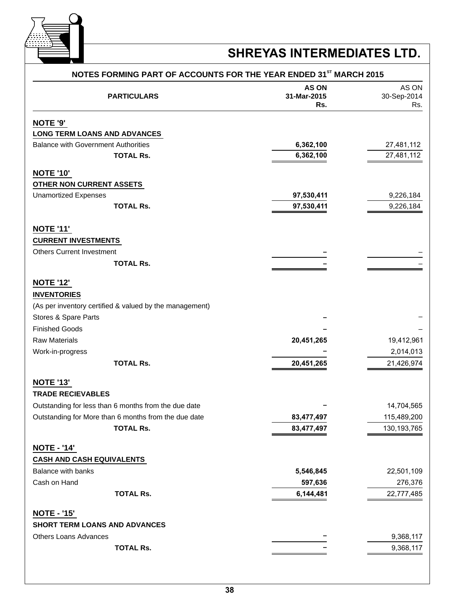

| NOTES FORMING PART OF ACCOUNTS FOR THE YEAR ENDED 31ST MARCH 2015                                 |                                    |                             |
|---------------------------------------------------------------------------------------------------|------------------------------------|-----------------------------|
| <b>PARTICULARS</b>                                                                                | <b>AS ON</b><br>31-Mar-2015<br>Rs. | AS ON<br>30-Sep-2014<br>Rs. |
| <b>NOTE '9'</b>                                                                                   |                                    |                             |
| <b>LONG TERM LOANS AND ADVANCES</b>                                                               |                                    |                             |
| <b>Balance with Government Authorities</b>                                                        | 6,362,100                          | 27,481,112                  |
| <b>TOTAL Rs.</b>                                                                                  | 6,362,100                          | 27,481,112                  |
|                                                                                                   |                                    |                             |
| <b>NOTE '10'</b>                                                                                  |                                    |                             |
| OTHER NON CURRENT ASSETS                                                                          |                                    |                             |
| <b>Unamortized Expenses</b>                                                                       | 97,530,411                         | 9,226,184                   |
| <b>TOTAL Rs.</b>                                                                                  | 97,530,411                         | 9,226,184                   |
| <b>NOTE '11'</b>                                                                                  |                                    |                             |
| <b>CURRENT INVESTMENTS</b>                                                                        |                                    |                             |
| <b>Others Current Investment</b>                                                                  |                                    |                             |
| <b>TOTAL Rs.</b>                                                                                  |                                    |                             |
| <b>NOTE '12'</b><br><b>INVENTORIES</b><br>(As per inventory certified & valued by the management) |                                    |                             |
| Stores & Spare Parts                                                                              |                                    |                             |
| <b>Finished Goods</b>                                                                             |                                    |                             |
| <b>Raw Materials</b>                                                                              | 20,451,265                         | 19,412,961                  |
| Work-in-progress                                                                                  |                                    | 2,014,013                   |
| <b>TOTAL Rs.</b>                                                                                  | 20,451,265                         | 21,426,974                  |
|                                                                                                   |                                    |                             |
| <b>NOTE '13'</b><br><b>TRADE RECIEVABLES</b>                                                      |                                    |                             |
| Outstanding for less than 6 months from the due date                                              |                                    | 14,704,565                  |
| Outstanding for More than 6 months from the due date                                              | 83,477,497                         | 115,489,200                 |
| <b>TOTAL Rs.</b>                                                                                  | 83,477,497                         | 130, 193, 765               |
| <b>NOTE - '14'</b>                                                                                |                                    |                             |
| <b>CASH AND CASH EQUIVALENTS</b>                                                                  |                                    |                             |
| <b>Balance with banks</b>                                                                         | 5,546,845                          | 22,501,109                  |
| Cash on Hand                                                                                      | 597,636                            | 276,376                     |
| <b>TOTAL Rs.</b>                                                                                  | 6,144,481                          | 22,777,485                  |
| <b>NOTE - '15'</b>                                                                                |                                    |                             |
| <b>SHORT TERM LOANS AND ADVANCES</b>                                                              |                                    |                             |
| <b>Others Loans Advances</b>                                                                      |                                    | 9,368,117                   |
| <b>TOTAL Rs.</b>                                                                                  |                                    | 9,368,117                   |
|                                                                                                   |                                    |                             |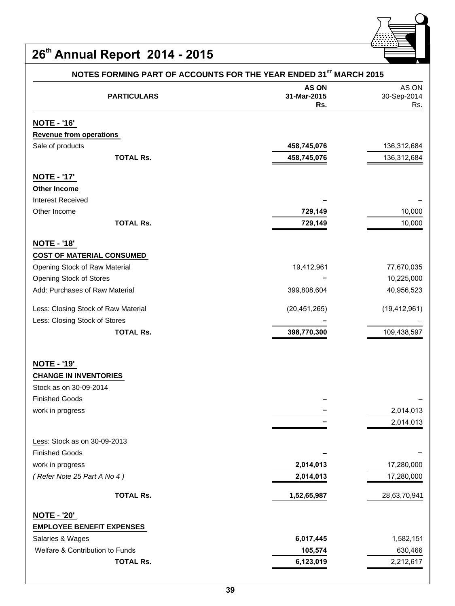

|                                                 | <b>AS ON</b>   | AS ON                |
|-------------------------------------------------|----------------|----------------------|
| <b>PARTICULARS</b>                              | 31-Mar-2015    | 30-Sep-2014          |
|                                                 | Rs.            | Rs.                  |
| <b>NOTE - '16'</b>                              |                |                      |
| Revenue from operations                         |                |                      |
| Sale of products                                | 458,745,076    | 136,312,684          |
| <b>TOTAL Rs.</b>                                | 458,745,076    | 136,312,684          |
|                                                 |                |                      |
| <b>NOTE - '17'</b><br>Other Income              |                |                      |
| <b>Interest Received</b>                        |                |                      |
|                                                 |                |                      |
| Other Income                                    | 729,149        | 10,000               |
| <b>TOTAL Rs.</b>                                | 729,149        | 10,000               |
| <b>NOTE - '18'</b>                              |                |                      |
| <b>COST OF MATERIAL CONSUMED</b>                |                |                      |
| Opening Stock of Raw Material                   | 19,412,961     | 77,670,035           |
| Opening Stock of Stores                         |                | 10,225,000           |
| Add: Purchases of Raw Material                  | 399,808,604    | 40,956,523           |
| Less: Closing Stock of Raw Material             | (20, 451, 265) | (19, 412, 961)       |
| Less: Closing Stock of Stores                   |                |                      |
| <b>TOTAL Rs.</b>                                | 398,770,300    | 109,438,597          |
|                                                 |                |                      |
| <u>NOTE - '19'</u>                              |                |                      |
| <b>CHANGE IN INVENTORIES</b>                    |                |                      |
| Stock as on 30-09-2014                          |                |                      |
| <b>Finished Goods</b>                           |                |                      |
| work in progress                                |                | 2,014,013            |
|                                                 |                | 2,014,013            |
| Less: Stock as on 30-09-2013                    |                |                      |
| <b>Finished Goods</b>                           |                |                      |
|                                                 | 2,014,013      |                      |
| work in progress<br>(Refer Note 25 Part A No 4) |                | 17,280,000           |
|                                                 | 2,014,013      | 17,280,000           |
| <b>TOTAL Rs.</b>                                | 1,52,65,987    | 28,63,70,941         |
| <b>NOTE - '20'</b>                              |                |                      |
| <b>EMPLOYEE BENEFIT EXPENSES</b>                |                |                      |
|                                                 |                |                      |
| Salaries & Wages                                | 6,017,445      |                      |
| Welfare & Contribution to Funds                 | 105,574        | 1,582,151<br>630,466 |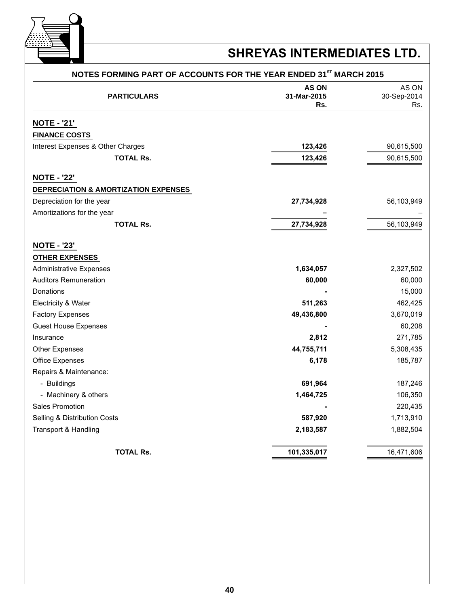

| <b>PARTICULARS</b>                              | <b>AS ON</b><br>31-Mar-2015<br>Rs. | AS ON<br>30-Sep-2014<br>Rs. |
|-------------------------------------------------|------------------------------------|-----------------------------|
| <b>NOTE - '21'</b>                              |                                    |                             |
| <b>FINANCE COSTS</b>                            |                                    |                             |
| Interest Expenses & Other Charges               | 123,426                            | 90,615,500                  |
| <b>TOTAL Rs.</b>                                | 123,426                            | 90,615,500                  |
| <b>NOTE - '22'</b>                              |                                    |                             |
| <b>DEPRECIATION &amp; AMORTIZATION EXPENSES</b> |                                    |                             |
| Depreciation for the year                       | 27,734,928                         | 56,103,949                  |
| Amortizations for the year                      |                                    |                             |
| <b>TOTAL Rs.</b>                                | 27,734,928                         | 56,103,949                  |
| <b>NOTE - '23'</b>                              |                                    |                             |
| <b>OTHER EXPENSES</b>                           |                                    |                             |
| <b>Administrative Expenses</b>                  | 1,634,057                          | 2,327,502                   |
| <b>Auditors Remuneration</b>                    | 60,000                             | 60,000                      |
| Donations                                       |                                    | 15,000                      |
| Electricity & Water                             | 511,263                            | 462,425                     |
| <b>Factory Expenses</b>                         | 49,436,800                         | 3,670,019                   |
| <b>Guest House Expenses</b>                     |                                    | 60,208                      |
| Insurance                                       | 2,812                              | 271,785                     |
| <b>Other Expenses</b>                           | 44,755,711                         | 5,308,435                   |
| Office Expenses                                 | 6,178                              | 185,787                     |
| Repairs & Maintenance:                          |                                    |                             |
| - Buildings                                     | 691,964                            | 187,246                     |
| - Machinery & others                            | 1,464,725                          | 106,350                     |
| <b>Sales Promotion</b>                          |                                    | 220,435                     |
| Selling & Distribution Costs                    | 587,920                            | 1,713,910                   |
| Transport & Handling                            | 2,183,587                          | 1,882,504                   |
| <b>TOTAL Rs.</b>                                | 101,335,017                        | 16,471,606                  |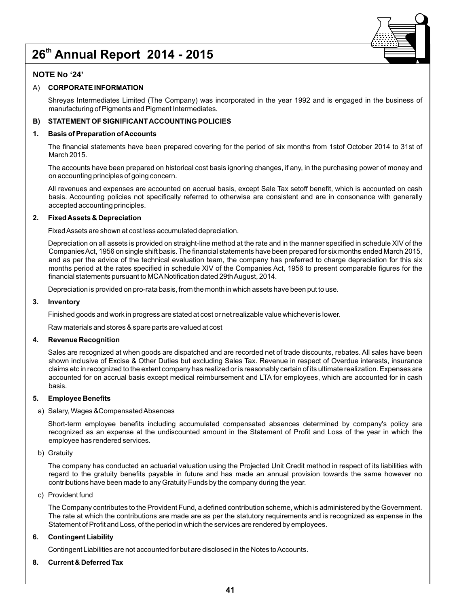

#### A) **CORPORATE INFORMATION**

Shreyas Intermediates Limited (The Company) was incorporated in the year 1992 and is engaged in the business of manufacturing of Pigments and Pigment Intermediates.

#### **B) STATEMENT OF SIGNIFICANT ACCOUNTING POLICIES**

#### **1. Basis of Preparation of Accounts**

The financial statements have been prepared covering for the period of six months from 1stof October 2014 to 31st of March 2015.

The accounts have been prepared on historical cost basis ignoring changes, if any, in the purchasing power of money and on accounting principles of going concern.

All revenues and expenses are accounted on accrual basis, except Sale Tax setoff benefit, which is accounted on cash basis. Accounting policies not specifically referred to otherwise are consistent and are in consonance with generally accepted accounting principles.

#### **2. Fixed Assets & Depreciation**

Fixed Assets are shown at cost less accumulated depreciation.

Depreciation on all assets is provided on straight-line method at the rate and in the manner specified in schedule XIV of the Companies Act, 1956 on single shift basis. The financial statements have been prepared for six months ended March 2015, and as per the advice of the technical evaluation team, the company has preferred to charge depreciation for this six months period at the rates specified in schedule XIV of the Companies Act, 1956 to present comparable figures for the financial statements pursuant to MCANotification dated 29th August, 2014.

Depreciation is provided on pro-rata basis, from the month in which assets have been put to use.

#### **3. Inventory**

Finished goods and work in progress are stated at cost or net realizable value whichever is lower.

Raw materials and stores & spare parts are valued at cost

#### **4. Revenue Recognition**

Sales are recognized at when goods are dispatched and are recorded net of trade discounts, rebates. All sales have been shown inclusive of Excise & Other Duties but excluding Sales Tax. Revenue in respect of Overdue interests, insurance claims etc in recognized to the extent company has realized or is reasonably certain of its ultimate realization. Expenses are accounted for on accrual basis except medical reimbursement and LTA for employees, which are accounted for in cash basis.

#### **5. Employee Benefits**

#### a) Salary, Wages &Compensated Absences

Short-term employee benefits including accumulated compensated absences determined by company's policy are recognized as an expense at the undiscounted amount in the Statement of Profit and Loss of the year in which the employee has rendered services.

b) Gratuity

The company has conducted an actuarial valuation using the Projected Unit Credit method in respect of its liabilities with regard to the gratuity benefits payable in future and has made an annual provision towards the same however no contributions have been made to any Gratuity Funds by the company during the year.

c) Provident fund

The Company contributes to the Provident Fund, a defined contribution scheme, which is administered by the Government. The rate at which the contributions are made are as per the statutory requirements and is recognized as expense in the Statement of Profit and Loss, of the period in which the services are rendered by employees.

#### **6. Contingent Liability**

Contingent Liabilities are not accounted for but are disclosed in the Notes to Accounts.

#### **8. Current & Deferred Tax**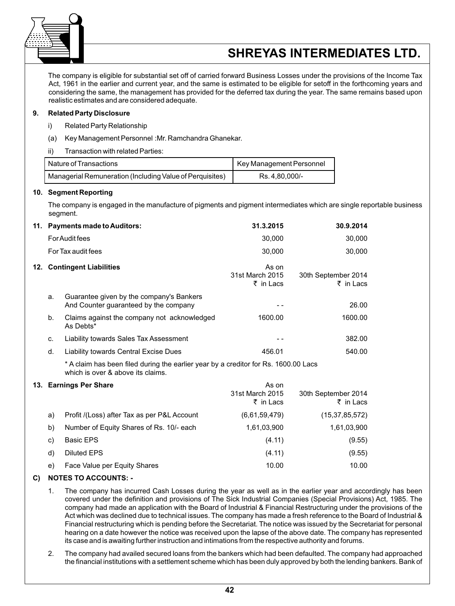

The company is eligible for substantial set off of carried forward Business Losses under the provisions of the Income Tax Act, 1961 in the earlier and current year, and the same is estimated to be eligible for setoff in the forthcoming years and considering the same, the management has provided for the deferred tax during the year. The same remains based upon realistic estimates and are considered adequate.

#### **9. Related Party Disclosure**

- i) Related Party Relationship
- (a) Key Management Personnel :Mr. Ramchandra Ghanekar.
- ii) Transaction with related Parties:

| l Nature of Transactions                                 | <sup>1</sup> Key Management Personnel |
|----------------------------------------------------------|---------------------------------------|
| Managerial Remuneration (Including Value of Perquisites) | Rs. 4.80.000/-                        |

#### **10. Segment Reporting**

The company is engaged in the manufacture of pigments and pigment intermediates which are single reportable business segment.

|    | 11. Payments made to Auditors:                                                    | 31.3.2015                                     | 30.9.2014                        |
|----|-----------------------------------------------------------------------------------|-----------------------------------------------|----------------------------------|
|    | For Audit fees                                                                    | 30.000                                        | 30.000                           |
|    | For Tax audit fees                                                                | 30.000                                        | 30.000                           |
|    | 12. Contingent Liabilities                                                        | As on<br>31st March 2015<br>$\bar{z}$ in Lacs | 30th September 2014<br>₹ in Lacs |
| a. | Guarantee given by the company's Bankers<br>And Counter guaranteed by the company |                                               | 26.00                            |
| b. | Claims against the company not acknowledged<br>As Debts*                          | 1600.00                                       | 1600.00                          |
| C. | Liability towards Sales Tax Assessment                                            |                                               | 382.00                           |
| d. | Liability towards Central Excise Dues                                             | 456.01                                        | 540.00                           |
|    |                                                                                   |                                               |                                  |

\* A claim has been filed during the earlier year by a creditor for Rs. 1600.00 Lacs which is over & above its claims.

#### **13. Earnings Per Share** As on the state of the state of the state of the state of the state of the state of the state of the state of the state of the state of the state of the state of the state of the state of the state

|    | санніць гегонаге                            | AS VII<br>31st March 2015<br>₹ in Lacs | 30th September 2014<br>$\bar{\tau}$ in Lacs |
|----|---------------------------------------------|----------------------------------------|---------------------------------------------|
| a) | Profit /(Loss) after Tax as per P&L Account | (6,61,59,479)                          | (15, 37, 85, 572)                           |
| b) | Number of Equity Shares of Rs. 10/- each    | 1,61,03,900                            | 1,61,03,900                                 |
| C) | <b>Basic EPS</b>                            | (4.11)                                 | (9.55)                                      |
| d) | <b>Diluted EPS</b>                          | (4.11)                                 | (9.55)                                      |
| e) | Face Value per Equity Shares                | 10.00                                  | 10.00                                       |
|    |                                             |                                        |                                             |

#### **C) NOTES TO ACCOUNTS: -**

1. The company has incurred Cash Losses during the year as well as in the earlier year and accordingly has been covered under the definition and provisions of The Sick Industrial Companies (Special Provisions) Act, 1985. The company had made an application with the Board of Industrial & Financial Restructuring under the provisions of the Act which was declined due to technical issues. The company has made a fresh reference to the Board of Industrial & Financial restructuring which is pending before the Secretariat. The notice was issued by the Secretariat for personal hearing on a date however the notice was received upon the lapse of the above date. The company has represented its case and is awaiting further instruction and intimations from the respective authority and forums.

2. The company had availed secured loans from the bankers which had been defaulted. The company had approached the financial institutions with a settlement scheme which has been duly approved by both the lending bankers. Bank of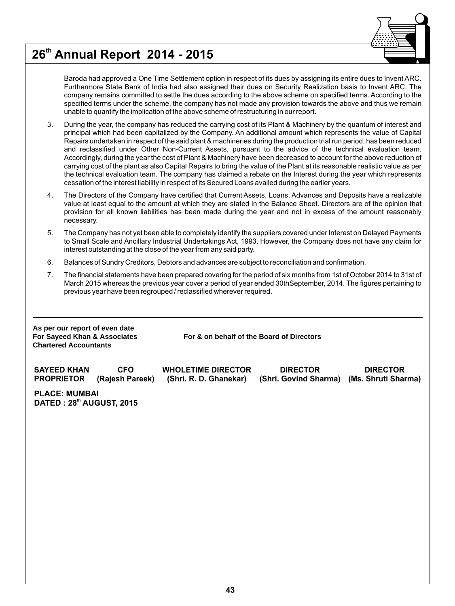Baroda had approved a One Time Settlement option in respect of its dues by assigning its entire dues to Invent ARC. Furthermore State Bank of India had also assigned their dues on Security Realization basis to Invent ARC. The company remains committed to settle the dues according to the above scheme on specified terms. According to the specified terms under the scheme, the company has not made any provision towards the above and thus we remain unable to quantify the implication of the above scheme of restructuring in our report.

- 3. During the year, the company has reduced the carrying cost of its Plant & Machinery by the quantum of interest and principal which had been capitalized by the Company. An additional amount which represents the value of Capital Repairs undertaken in respect of the said plant & machineries during the production trial run period, has been reduced and reclassified under Other Non-Current Assets, pursuant to the advice of the technical evaluation team. Accordingly, during the year the cost of Plant & Machinery have been decreased to account for the above reduction of carrying cost of the plant as also Capital Repairs to bring the value of the Plant at its reasonable realistic value as per the technical evaluation team. The company has claimed a rebate on the Interest during the year which represents cessation of the interest liability in respect of its Secured Loans availed during the earlier years.
- 4. The Directors of the Company have certified that Current Assets, Loans, Advances and Deposits have a realizable value at least equal to the amount at which they are stated in the Balance Sheet. Directors are of the opinion that provision for all known liabilities has been made during the year and not in excess of the amount reasonably necessary.
- 5. The Company has not yet been able to completely identify the suppliers covered under Interest on Delayed Payments to Small Scale and Ancillary Industrial Undertakings Act, 1993. However, the Company does not have any claim for interest outstanding at the close of the year from any said party.
- 6. Balances of Sundry Creditors, Debtors and advances are subject to reconciliation and confirmation.
- 7. The financial statements have been prepared covering for the period of six months from 1st of October 2014 to 31st of March 2015 whereas the previous year cover a period of year ended 30thSeptember, 2014. The figures pertaining to previous year have been regrouped / reclassified wherever required.

**As per our report of even date For Sayeed Khan & Associates For & on behalf of the Board of Directors Chartered Accountants SAYEED KHAN PROPRIETOR WHOLETIME DIRECTOR (Shri. R. D. Ghanekar) DIRECTOR (Shri. Govind Sharma) (Ms. Shruti Sharma) DIRECTOR CFO (Rajesh Pareek)**

 **PLACE: MUMBAI th DATED : 28 AUGUST, 2015**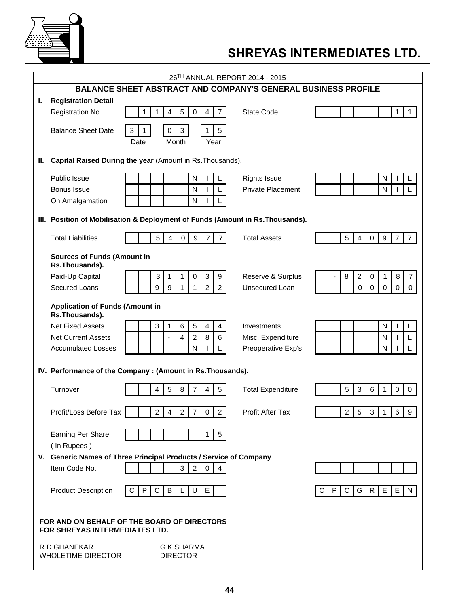

| 26TH ANNUAL REPORT 2014 - 2015                                                |                                                          |                                                                                |                          |                                                               |
|-------------------------------------------------------------------------------|----------------------------------------------------------|--------------------------------------------------------------------------------|--------------------------|---------------------------------------------------------------|
| <b>BALANCE SHEET ABSTRACT AND COMPANY'S GENERAL BUSINESS PROFILE</b>          |                                                          |                                                                                |                          |                                                               |
| ı.                                                                            | <b>Registration Detail</b>                               |                                                                                |                          |                                                               |
|                                                                               | Registration No.                                         | $\sqrt{5}$<br>$\overline{4}$<br>0<br>$\overline{4}$<br>$7^{\circ}$<br>1<br>1   | <b>State Code</b>        | $\mathbf{1}$<br>$\mathbf{1}$                                  |
|                                                                               | <b>Balance Sheet Date</b>                                | $\mathbf{3}$<br>3<br>0<br>1<br>5<br>1<br>Year<br>Date<br>Month                 |                          |                                                               |
| II.                                                                           |                                                          | Capital Raised During the year (Amount in Rs. Thousands).                      |                          |                                                               |
|                                                                               | <b>Public Issue</b>                                      | N<br>ı                                                                         | <b>Rights Issue</b>      | Ν<br>L                                                        |
|                                                                               | Bonus Issue                                              | N<br>T<br>L                                                                    | <b>Private Placement</b> | N<br>ı                                                        |
|                                                                               | On Amalgamation                                          | N<br>$\mathbf{I}$                                                              |                          |                                                               |
|                                                                               |                                                          | III. Position of Mobilisation & Deployment of Funds (Amount in Rs. Thousands). |                          |                                                               |
|                                                                               | <b>Total Liabilities</b>                                 | 5<br>4 <sup>1</sup><br>$\pmb{0}$<br>9<br>7<br>7                                | <b>Total Assets</b>      | 5<br>$\overline{4}$<br>$\pmb{0}$<br>9<br>7<br>7               |
|                                                                               | <b>Sources of Funds (Amount in</b><br>Rs.Thousands).     |                                                                                |                          |                                                               |
|                                                                               | Paid-Up Capital                                          | 3<br>1<br>0<br>3<br>9<br>1                                                     | Reserve & Surplus        | 7<br>8<br>2<br>$\mathbf 0$<br>1<br>8                          |
|                                                                               | Secured Loans                                            | 9<br>$\mathbf{1}$<br>$\overline{2}$<br>9<br>$\overline{2}$<br>1                | Unsecured Loan           | $\mathbf 0$<br>$\mathbf 0$<br>$\mathbf 0$<br>$\mathbf 0$<br>0 |
|                                                                               | <b>Application of Funds (Amount in</b><br>Rs.Thousands). |                                                                                |                          |                                                               |
|                                                                               | <b>Net Fixed Assets</b>                                  | 3<br>6<br>$\mathbf 5$<br>1<br>4<br>4                                           | Investments              | Ν<br>$\mathbf{I}$<br>L                                        |
|                                                                               | <b>Net Current Assets</b>                                | $\overline{2}$<br>8<br>4<br>6<br>ä,                                            | Misc. Expenditure        | N<br>$\mathbf{I}$<br>L                                        |
|                                                                               | <b>Accumulated Losses</b>                                | N<br>$\mathbf{I}$<br>L                                                         | Preoperative Exp's       | N<br>$\mathbf{I}$                                             |
|                                                                               |                                                          | IV. Performance of the Company : (Amount in Rs. Thousands).                    |                          |                                                               |
|                                                                               | Turnover                                                 | 5<br>8<br>5<br>7<br>4<br>4                                                     | <b>Total Expenditure</b> | 3<br>6<br>5<br>1<br>0<br>0                                    |
|                                                                               | Profit/Loss Before Tax                                   | $\overline{2}$<br>2<br>4<br>$\overline{7}$<br>$\mathbf 0$<br>$\overline{2}$    | <b>Profit After Tax</b>  | $\,$ 5 $\,$<br>$\sqrt{3}$<br>$\overline{2}$<br>1<br>6<br>9    |
|                                                                               | <b>Earning Per Share</b><br>(In Rupees)                  | 1<br>5 <sup>5</sup>                                                            |                          |                                                               |
|                                                                               |                                                          | V. Generic Names of Three Principal Products / Service of Company              |                          |                                                               |
|                                                                               | Item Code No.                                            | 3<br>$\overline{2}$<br>0<br>4                                                  |                          |                                                               |
|                                                                               | <b>Product Description</b>                               | C   P  <br>C B <br>U<br>E.<br>L.                                               |                          | P <br>GR<br>E.<br>E N<br>C<br>$\mathsf{C}$                    |
| FOR AND ON BEHALF OF THE BOARD OF DIRECTORS<br>FOR SHREYAS INTERMEDIATES LTD. |                                                          |                                                                                |                          |                                                               |
|                                                                               | R.D.GHANEKAR<br>WHOLETIME DIRECTOR                       | G.K.SHARMA<br><b>DIRECTOR</b>                                                  |                          |                                                               |
|                                                                               |                                                          |                                                                                |                          |                                                               |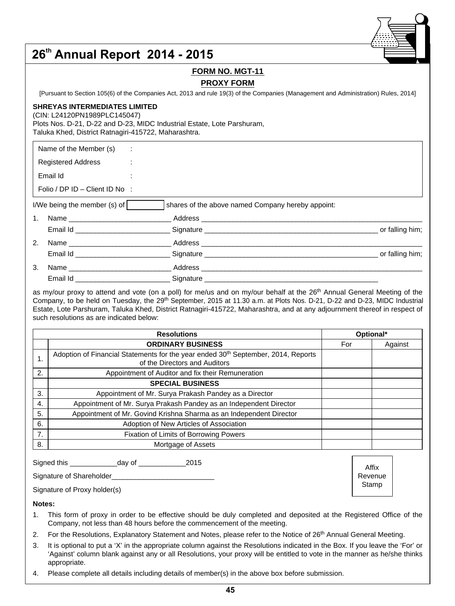

Affix Revenue Stamp

## **th 26 Annual Report 2014 - 2015**

#### **FORM NO. MGT-11**

**PROXY FORM**

[Pursuant to Section 105(6) of the Companies Act, 2013 and rule 19(3) of the Companies (Management and Administration) Rules, 2014]

#### **SHREYAS INTERMEDIATES LIMITED**

(CIN: L24120PN1989PLC145047)

Plots Nos. D-21, D-22 and D-23, MIDC Industrial Estate, Lote Parshuram, Taluka Khed, District Ratnagiri-415722, Maharashtra.

|    | Name of the Member (s) :                                                                                                                                                                                                       |                                                                                                                                                                                                                                |                 |
|----|--------------------------------------------------------------------------------------------------------------------------------------------------------------------------------------------------------------------------------|--------------------------------------------------------------------------------------------------------------------------------------------------------------------------------------------------------------------------------|-----------------|
|    | Registered Address :                                                                                                                                                                                                           |                                                                                                                                                                                                                                |                 |
|    | Email Id                                                                                                                                                                                                                       |                                                                                                                                                                                                                                |                 |
|    | Folio / DP ID - Client ID No :                                                                                                                                                                                                 |                                                                                                                                                                                                                                |                 |
|    | I/We being the member (s) of                                                                                                                                                                                                   | shares of the above named Company hereby appoint:                                                                                                                                                                              |                 |
| 1. |                                                                                                                                                                                                                                |                                                                                                                                                                                                                                |                 |
|    |                                                                                                                                                                                                                                |                                                                                                                                                                                                                                | or falling him; |
| 2. |                                                                                                                                                                                                                                |                                                                                                                                                                                                                                |                 |
|    |                                                                                                                                                                                                                                | Email Id experience and Signature experience and the Signature experience and the set of the set of the set of the set of the set of the set of the set of the set of the set of the set of the set of the set of the set of t | or falling him; |
| 3. |                                                                                                                                                                                                                                |                                                                                                                                                                                                                                |                 |
|    | Email Id and the state of the state of the state of the state of the state of the state of the state of the state of the state of the state of the state of the state of the state of the state of the state of the state of t | Signature                                                                                                                                                                                                                      |                 |

as my/our proxy to attend and vote (on a poll) for me/us and on my/our behalf at the  $26<sup>th</sup>$  Annual General Meeting of the Company, to be held on Tuesday, the 29<sup>th</sup> September, 2015 at 11.30 a.m. at Plots Nos. D-21, D-22 and D-23, MIDC Industrial Estate, Lote Parshuram, Taluka Khed, District Ratnagiri-415722, Maharashtra, and at any adjournment thereof in respect of such resolutions as are indicated below:

|    | <b>Resolutions</b><br>Optional*                                                                                                |     |         |
|----|--------------------------------------------------------------------------------------------------------------------------------|-----|---------|
|    | <b>ORDINARY BUSINESS</b>                                                                                                       | For | Against |
|    | Adoption of Financial Statements for the year ended 30 <sup>th</sup> September, 2014, Reports<br>of the Directors and Auditors |     |         |
| 2. | Appointment of Auditor and fix their Remuneration                                                                              |     |         |
|    | <b>SPECIAL BUSINESS</b>                                                                                                        |     |         |
| 3. | Appointment of Mr. Surya Prakash Pandey as a Director                                                                          |     |         |
| 4. | Appointment of Mr. Surya Prakash Pandey as an Independent Director                                                             |     |         |
| 5. | Appointment of Mr. Govind Krishna Sharma as an Independent Director                                                            |     |         |
| 6. | Adoption of New Articles of Association                                                                                        |     |         |
| 7. | Fixation of Limits of Borrowing Powers                                                                                         |     |         |
| 8. | Mortgage of Assets                                                                                                             |     |         |

Signed this \_\_\_\_\_\_\_\_\_\_\_\_day of \_\_\_\_\_\_\_\_\_\_\_\_2015

Signature of Shareholder

Signature of Proxy holder(s)

**Notes:** 

- 1. This form of proxy in order to be effective should be duly completed and deposited at the Registered Office of the Company, not less than 48 hours before the commencement of the meeting.
- 2. For the Resolutions, Explanatory Statement and Notes, please refer to the Notice of 26<sup>th</sup> Annual General Meeting.
- 3. It is optional to put a 'X' in the appropriate column against the Resolutions indicated in the Box. If you leave the 'For' or 'Against' column blank against any or all Resolutions, your proxy will be entitled to vote in the manner as he/she thinks appropriate.
- 4. Please complete all details including details of member(s) in the above box before submission.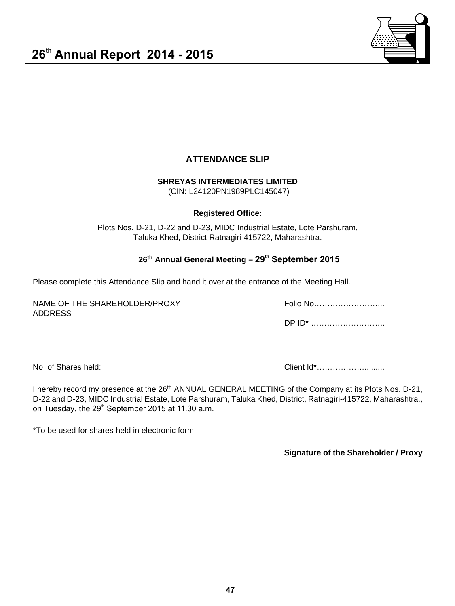| 26th Annual Report 2014 - 2015                                                                                                                                                                                                                                                                      |                                      |
|-----------------------------------------------------------------------------------------------------------------------------------------------------------------------------------------------------------------------------------------------------------------------------------------------------|--------------------------------------|
|                                                                                                                                                                                                                                                                                                     |                                      |
| <b>ATTENDANCE SLIP</b>                                                                                                                                                                                                                                                                              |                                      |
| <b>SHREYAS INTERMEDIATES LIMITED</b><br>(CIN: L24120PN1989PLC145047)                                                                                                                                                                                                                                |                                      |
| <b>Registered Office:</b>                                                                                                                                                                                                                                                                           |                                      |
| Plots Nos. D-21, D-22 and D-23, MIDC Industrial Estate, Lote Parshuram,<br>Taluka Khed, District Ratnagiri-415722, Maharashtra.                                                                                                                                                                     |                                      |
| 26th Annual General Meeting - 29th September 2015                                                                                                                                                                                                                                                   |                                      |
| Please complete this Attendance Slip and hand it over at the entrance of the Meeting Hall.                                                                                                                                                                                                          |                                      |
| NAME OF THE SHAREHOLDER/PROXY                                                                                                                                                                                                                                                                       | Folio No                             |
| <b>ADDRESS</b>                                                                                                                                                                                                                                                                                      | DP ID*                               |
|                                                                                                                                                                                                                                                                                                     |                                      |
| No. of Shares held:                                                                                                                                                                                                                                                                                 | Client Id*                           |
| I hereby record my presence at the 26 <sup>th</sup> ANNUAL GENERAL MEETING of the Company at its Plots Nos. D-21,<br>D-22 and D-23, MIDC Industrial Estate, Lote Parshuram, Taluka Khed, District, Ratnagiri-415722, Maharashtra.,<br>on Tuesday, the 29 <sup>th</sup> September 2015 at 11.30 a.m. |                                      |
| *To be used for shares held in electronic form                                                                                                                                                                                                                                                      |                                      |
|                                                                                                                                                                                                                                                                                                     | Signature of the Shareholder / Proxy |
|                                                                                                                                                                                                                                                                                                     |                                      |
|                                                                                                                                                                                                                                                                                                     |                                      |
|                                                                                                                                                                                                                                                                                                     |                                      |
|                                                                                                                                                                                                                                                                                                     |                                      |
|                                                                                                                                                                                                                                                                                                     |                                      |

 $\bigcirc$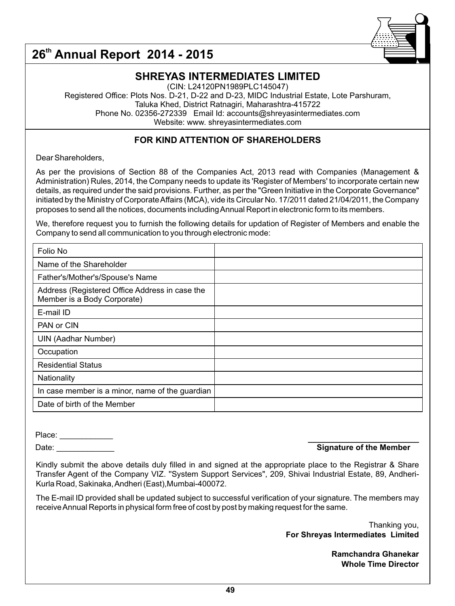

#### **SHREYAS INTERMEDIATES LIMITED**

(CIN: L24120PN1989PLC145047)

Registered Office: Plots Nos. D-21, D-22 and D-23, MIDC Industrial Estate, Lote Parshuram, Taluka Khed, District Ratnagiri, Maharashtra-415722 Phone No. 02356-272339 Email Id: accounts@shreyasintermediates.com Website: www. shreyasintermediates.com

#### **FOR KIND ATTENTION OF SHAREHOLDERS**

Dear Shareholders,

As per the provisions of Section 88 of the Companies Act, 2013 read with Companies (Management & Administration) Rules, 2014, the Company needs to update its 'Register of Members' to incorporate certain new details, as required under the said provisions. Further, as per the "Green Initiative in the Corporate Governance" initiated by the Ministry of Corporate Affairs (MCA), vide its Circular No. 17/2011 dated 21/04/2011, the Company proposes to send all the notices, documents including Annual Report in electronic form to its members.

We, therefore request you to furnish the following details for updation of Register of Members and enable the Company to send all communication to you through electronic mode:

| Folio No                                                                      |  |
|-------------------------------------------------------------------------------|--|
| Name of the Shareholder                                                       |  |
| Father's/Mother's/Spouse's Name                                               |  |
| Address (Registered Office Address in case the<br>Member is a Body Corporate) |  |
| E-mail ID                                                                     |  |
| PAN or CIN                                                                    |  |
| UIN (Aadhar Number)                                                           |  |
| Occupation                                                                    |  |
| <b>Residential Status</b>                                                     |  |
| Nationality                                                                   |  |
| In case member is a minor, name of the quardian                               |  |
| Date of birth of the Member                                                   |  |

Place:  $\Box$ Date:  $\_\_$ 

#### **\_\_\_\_\_\_\_\_\_\_\_\_\_\_\_\_\_\_\_\_\_\_\_\_\_ Signature of the Member**

Kindly submit the above details duly filled in and signed at the appropriate place to the Registrar & Share Transfer Agent of the Company VIZ. ''System Support Services", 209, Shivai Industrial Estate, 89, Andheri-Kurla Road, Sakinaka, Andheri (East),Mumbai-400072.

The E-mail ID provided shall be updated subject to successful verification of your signature. The members may receive Annual Reports in physical form free of cost by post by making request for the same.

> Thanking you, **For Shreyas Intermediates Limited**

> > **Ramchandra Ghanekar Whole Time Director**